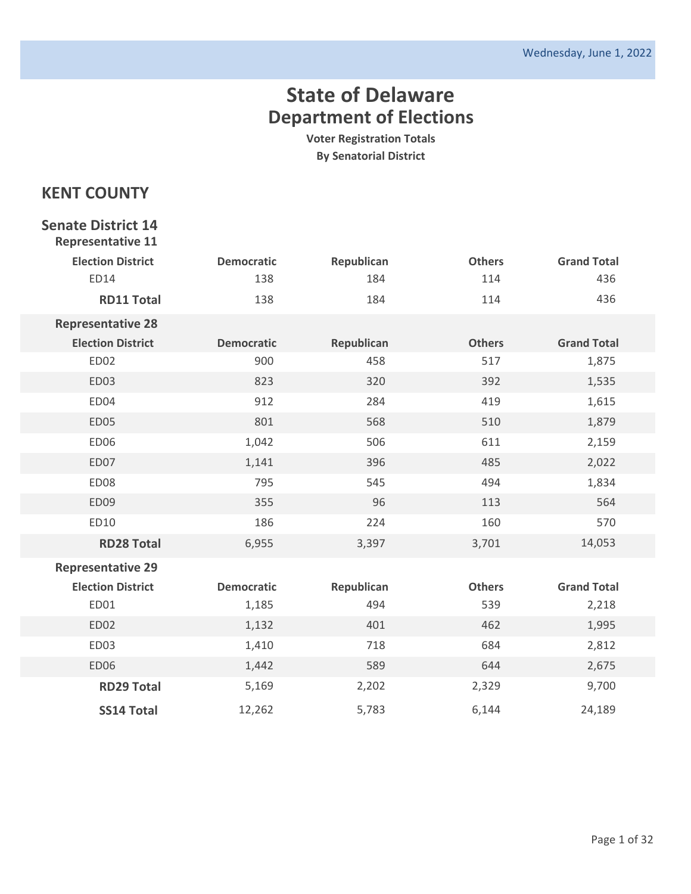**Voter Registration Totals By Senatorial District**

### **KENT COUNTY**

#### **Senate District 14 Representative 11**

| <b>Election District</b> | <b>Democratic</b> | Republican | <b>Others</b> | <b>Grand Total</b> |
|--------------------------|-------------------|------------|---------------|--------------------|
| <b>ED14</b>              | 138               | 184        | 114           | 436                |
| <b>RD11 Total</b>        | 138               | 184        | 114           | 436                |
| <b>Representative 28</b> |                   |            |               |                    |
| <b>Election District</b> | <b>Democratic</b> | Republican | <b>Others</b> | <b>Grand Total</b> |
| ED02                     | 900               | 458        | 517           | 1,875              |
| ED03                     | 823               | 320        | 392           | 1,535              |
| ED04                     | 912               | 284        | 419           | 1,615              |
| ED05                     | 801               | 568        | 510           | 1,879              |
| ED06                     | 1,042             | 506        | 611           | 2,159              |
| ED07                     | 1,141             | 396        | 485           | 2,022              |
| ED08                     | 795               | 545        | 494           | 1,834              |
| ED09                     | 355               | 96         | 113           | 564                |
| ED10                     | 186               | 224        | 160           | 570                |
| <b>RD28 Total</b>        | 6,955             | 3,397      | 3,701         | 14,053             |
| <b>Representative 29</b> |                   |            |               |                    |
| <b>Election District</b> | <b>Democratic</b> | Republican | <b>Others</b> | <b>Grand Total</b> |
| ED01                     | 1,185             | 494        | 539           | 2,218              |
| ED02                     | 1,132             | 401        | 462           | 1,995              |
| ED03                     | 1,410             | 718        | 684           | 2,812              |
| <b>ED06</b>              | 1,442             | 589        | 644           | 2,675              |
| <b>RD29 Total</b>        | 5,169             | 2,202      | 2,329         | 9,700              |
| <b>SS14 Total</b>        | 12,262            | 5,783      | 6,144         | 24,189             |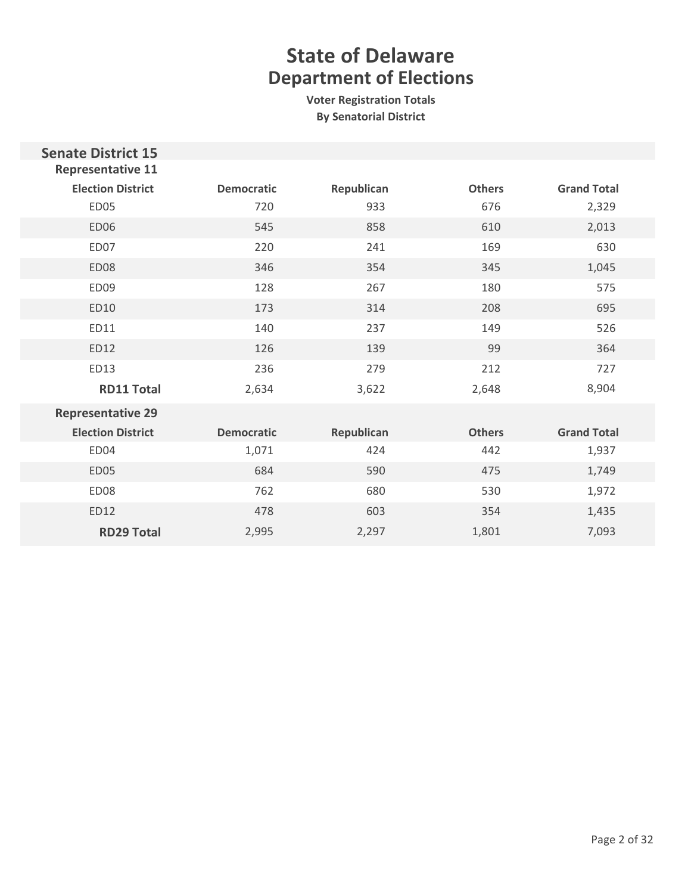| <b>Senate District 15</b><br><b>Representative 11</b> |                   |            |               |                    |
|-------------------------------------------------------|-------------------|------------|---------------|--------------------|
| <b>Election District</b>                              | <b>Democratic</b> | Republican | <b>Others</b> | <b>Grand Total</b> |
| <b>ED05</b>                                           | 720               | 933        | 676           | 2,329              |
| <b>ED06</b>                                           | 545               | 858        | 610           | 2,013              |
| ED07                                                  | 220               | 241        | 169           | 630                |
| <b>ED08</b>                                           | 346               | 354        | 345           | 1,045              |
| ED09                                                  | 128               | 267        | 180           | 575                |
| ED10                                                  | 173               | 314        | 208           | 695                |
| ED11                                                  | 140               | 237        | 149           | 526                |
| ED12                                                  | 126               | 139        | 99            | 364                |
| ED13                                                  | 236               | 279        | 212           | 727                |
| <b>RD11 Total</b>                                     | 2,634             | 3,622      | 2,648         | 8,904              |
| <b>Representative 29</b>                              |                   |            |               |                    |
| <b>Election District</b>                              | <b>Democratic</b> | Republican | <b>Others</b> | <b>Grand Total</b> |
| ED04                                                  | 1,071             | 424        | 442           | 1,937              |
| <b>ED05</b>                                           | 684               | 590        | 475           | 1,749              |
| ED <sub>08</sub>                                      | 762               | 680        | 530           | 1,972              |
| ED12                                                  | 478               | 603        | 354           | 1,435              |
| <b>RD29 Total</b>                                     | 2,995             | 2,297      | 1,801         | 7,093              |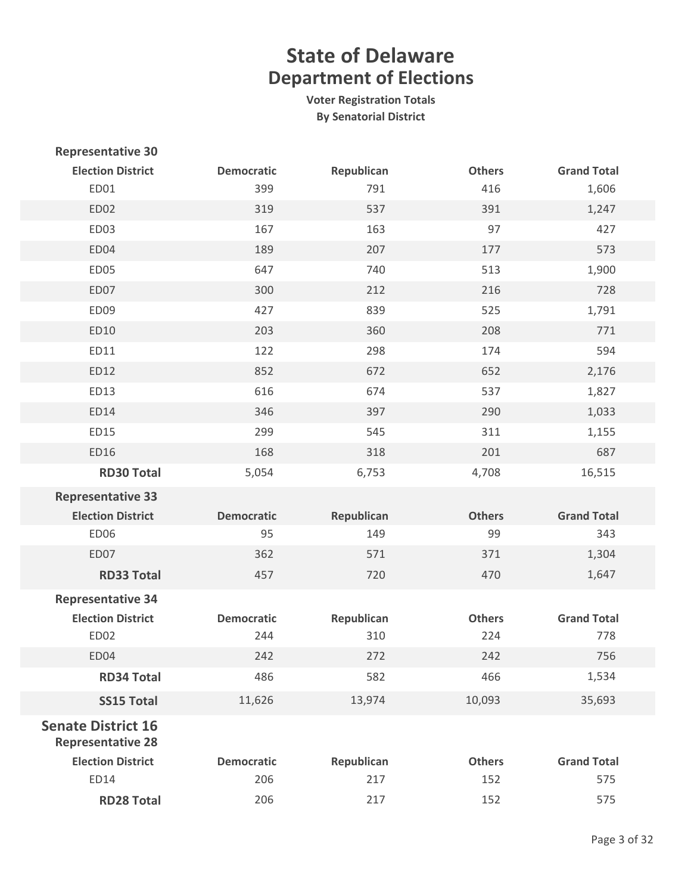| <b>Representative 30</b>                              |                   |            |               |                    |
|-------------------------------------------------------|-------------------|------------|---------------|--------------------|
| <b>Election District</b>                              | <b>Democratic</b> | Republican | <b>Others</b> | <b>Grand Total</b> |
| ED01                                                  | 399               | 791        | 416           | 1,606              |
| ED02                                                  | 319               | 537        | 391           | 1,247              |
| ED03                                                  | 167               | 163        | 97            | 427                |
| ED04                                                  | 189               | 207        | 177           | 573                |
| ED05                                                  | 647               | 740        | 513           | 1,900              |
| ED07                                                  | 300               | 212        | 216           | 728                |
| ED09                                                  | 427               | 839        | 525           | 1,791              |
| ED10                                                  | 203               | 360        | 208           | 771                |
| ED11                                                  | 122               | 298        | 174           | 594                |
| ED12                                                  | 852               | 672        | 652           | 2,176              |
| ED13                                                  | 616               | 674        | 537           | 1,827              |
| <b>ED14</b>                                           | 346               | 397        | 290           | 1,033              |
| ED15                                                  | 299               | 545        | 311           | 1,155              |
| ED16                                                  | 168               | 318        | 201           | 687                |
| <b>RD30 Total</b>                                     | 5,054             | 6,753      | 4,708         | 16,515             |
| <b>Representative 33</b>                              |                   |            |               |                    |
| <b>Election District</b>                              | <b>Democratic</b> | Republican | <b>Others</b> | <b>Grand Total</b> |
| ED06                                                  | 95                | 149        | 99            | 343                |
| ED07                                                  | 362               | 571        | 371           | 1,304              |
| <b>RD33 Total</b>                                     | 457               | 720        | 470           | 1,647              |
| <b>Representative 34</b>                              |                   |            |               |                    |
| <b>Election District</b>                              | <b>Democratic</b> | Republican | <b>Others</b> | <b>Grand Total</b> |
| ED02                                                  | 244               | 310        | 224           | 778                |
| ED04                                                  | 242               | 272        | 242           | 756                |
| <b>RD34 Total</b>                                     | 486               | 582        | 466           | 1,534              |
| <b>SS15 Total</b>                                     | 11,626            | 13,974     | 10,093        | 35,693             |
| <b>Senate District 16</b><br><b>Representative 28</b> |                   |            |               |                    |
| <b>Election District</b>                              | <b>Democratic</b> | Republican | <b>Others</b> | <b>Grand Total</b> |
| ED14                                                  | 206               | 217        | 152           | 575                |
| <b>RD28 Total</b>                                     | 206               | 217        | 152           | 575                |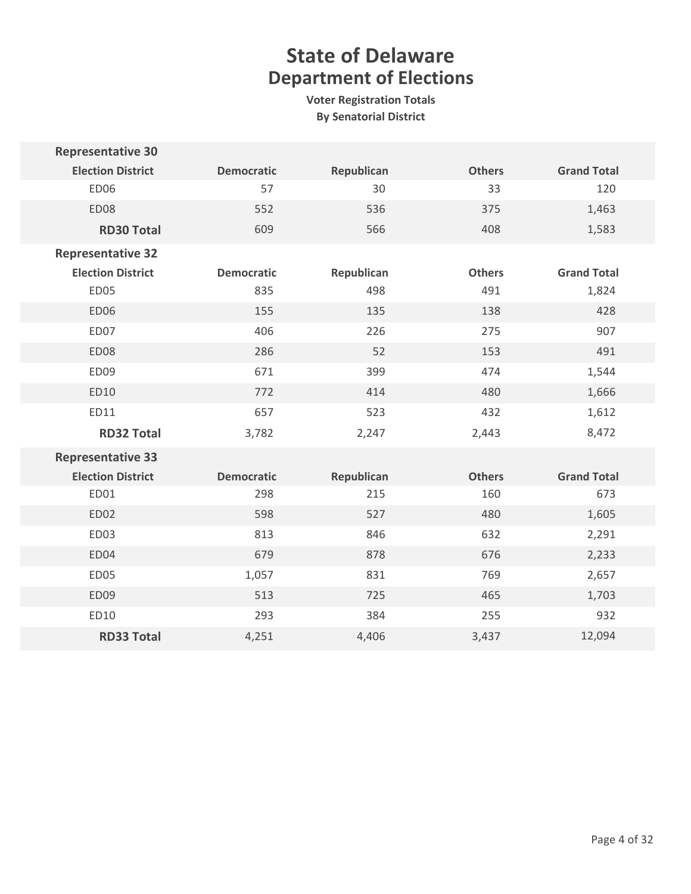| <b>Representative 30</b> |                   |            |               |                    |
|--------------------------|-------------------|------------|---------------|--------------------|
| <b>Election District</b> | <b>Democratic</b> | Republican | <b>Others</b> | <b>Grand Total</b> |
| <b>ED06</b>              | 57                | 30         | 33            | 120                |
| <b>ED08</b>              | 552               | 536        | 375           | 1,463              |
| <b>RD30 Total</b>        | 609               | 566        | 408           | 1,583              |
| <b>Representative 32</b> |                   |            |               |                    |
| <b>Election District</b> | <b>Democratic</b> | Republican | <b>Others</b> | <b>Grand Total</b> |
| <b>ED05</b>              | 835               | 498        | 491           | 1,824              |
| <b>ED06</b>              | 155               | 135        | 138           | 428                |
| ED07                     | 406               | 226        | 275           | 907                |
| <b>ED08</b>              | 286               | 52         | 153           | 491                |
| ED09                     | 671               | 399        | 474           | 1,544              |
| ED10                     | 772               | 414        | 480           | 1,666              |
| ED11                     | 657               | 523        | 432           | 1,612              |
| <b>RD32 Total</b>        | 3,782             | 2,247      | 2,443         | 8,472              |
| <b>Representative 33</b> |                   |            |               |                    |
| <b>Election District</b> | <b>Democratic</b> | Republican | <b>Others</b> | <b>Grand Total</b> |
| ED01                     | 298               | 215        | 160           | 673                |
| <b>ED02</b>              | 598               | 527        | 480           | 1,605              |
| ED03                     | 813               | 846        | 632           | 2,291              |
| ED04                     | 679               | 878        | 676           | 2,233              |
| ED05                     | 1,057             | 831        | 769           | 2,657              |
| ED09                     | 513               | 725        | 465           | 1,703              |
| ED10                     | 293               | 384        | 255           | 932                |
| <b>RD33 Total</b>        | 4,251             | 4,406      | 3,437         | 12,094             |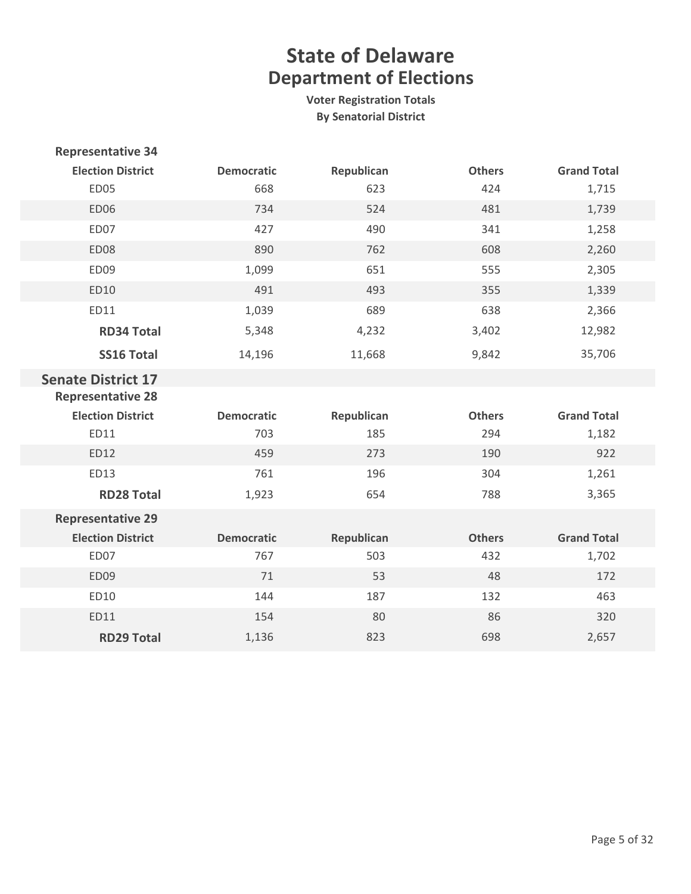| <b>Representative 34</b>  |                   |            |               |                    |
|---------------------------|-------------------|------------|---------------|--------------------|
| <b>Election District</b>  | <b>Democratic</b> | Republican | <b>Others</b> | <b>Grand Total</b> |
| ED05                      | 668               | 623        | 424           | 1,715              |
| <b>ED06</b>               | 734               | 524        | 481           | 1,739              |
| ED07                      | 427               | 490        | 341           | 1,258              |
| ED08                      | 890               | 762        | 608           | 2,260              |
| ED09                      | 1,099             | 651        | 555           | 2,305              |
| ED10                      | 491               | 493        | 355           | 1,339              |
| ED11                      | 1,039             | 689        | 638           | 2,366              |
| <b>RD34 Total</b>         | 5,348             | 4,232      | 3,402         | 12,982             |
| <b>SS16 Total</b>         | 14,196            | 11,668     | 9,842         | 35,706             |
| <b>Senate District 17</b> |                   |            |               |                    |
| <b>Representative 28</b>  |                   |            |               |                    |
| <b>Election District</b>  | <b>Democratic</b> | Republican | <b>Others</b> | <b>Grand Total</b> |
| ED11                      | 703               | 185        | 294           | 1,182              |
| ED12                      | 459               | 273        | 190           | 922                |
| ED13                      | 761               | 196        | 304           | 1,261              |
| <b>RD28 Total</b>         | 1,923             | 654        | 788           | 3,365              |
| <b>Representative 29</b>  |                   |            |               |                    |
| <b>Election District</b>  | <b>Democratic</b> | Republican | <b>Others</b> | <b>Grand Total</b> |
| ED07                      | 767               | 503        | 432           | 1,702              |
| ED09                      | 71                | 53         | 48            | 172                |
| ED10                      | 144               | 187        | 132           | 463                |
| ED11                      | 154               | 80         | 86            | 320                |
| <b>RD29 Total</b>         | 1,136             | 823        | 698           | 2,657              |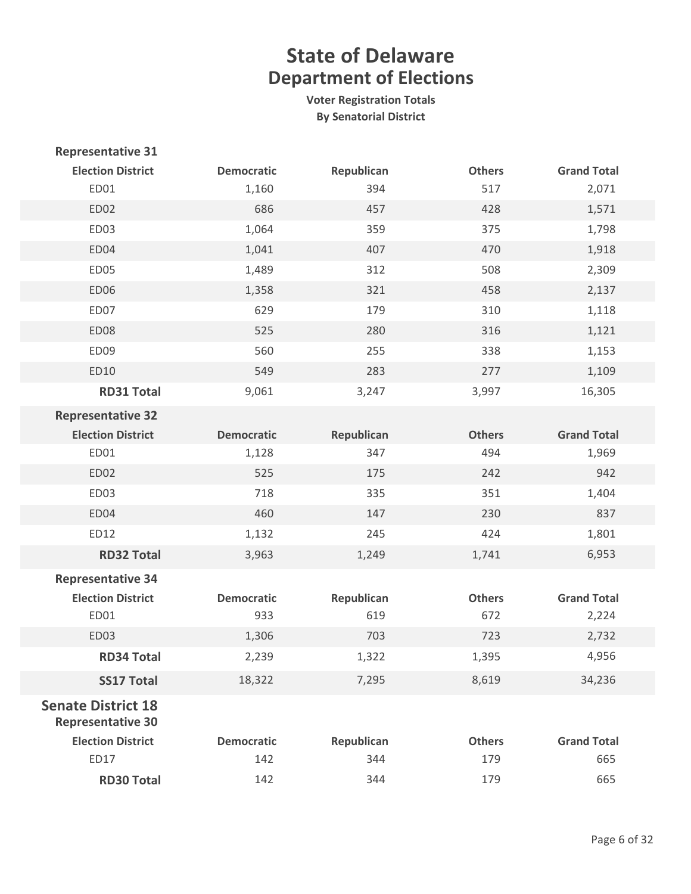| <b>Representative 31</b>                              |                   |            |               |                    |
|-------------------------------------------------------|-------------------|------------|---------------|--------------------|
| <b>Election District</b>                              | <b>Democratic</b> | Republican | <b>Others</b> | <b>Grand Total</b> |
| ED01                                                  | 1,160             | 394        | 517           | 2,071              |
| ED02                                                  | 686               | 457        | 428           | 1,571              |
| ED03                                                  | 1,064             | 359        | 375           | 1,798              |
| ED04                                                  | 1,041             | 407        | 470           | 1,918              |
| <b>ED05</b>                                           | 1,489             | 312        | 508           | 2,309              |
| <b>ED06</b>                                           | 1,358             | 321        | 458           | 2,137              |
| ED07                                                  | 629               | 179        | 310           | 1,118              |
| <b>ED08</b>                                           | 525               | 280        | 316           | 1,121              |
| ED09                                                  | 560               | 255        | 338           | 1,153              |
| ED10                                                  | 549               | 283        | 277           | 1,109              |
| <b>RD31 Total</b>                                     | 9,061             | 3,247      | 3,997         | 16,305             |
| <b>Representative 32</b>                              |                   |            |               |                    |
| <b>Election District</b>                              | <b>Democratic</b> | Republican | <b>Others</b> | <b>Grand Total</b> |
| ED01                                                  | 1,128             | 347        | 494           | 1,969              |
| ED02                                                  | 525               | 175        | 242           | 942                |
| ED03                                                  | 718               | 335        | 351           | 1,404              |
| ED04                                                  | 460               | 147        | 230           | 837                |
| ED12                                                  | 1,132             | 245        | 424           | 1,801              |
| <b>RD32 Total</b>                                     | 3,963             | 1,249      | 1,741         | 6,953              |
| <b>Representative 34</b>                              |                   |            |               |                    |
| <b>Election District</b>                              | <b>Democratic</b> | Republican | <b>Others</b> | <b>Grand Total</b> |
| ED01                                                  | 933               | 619        | 672           | 2,224              |
| <b>ED03</b>                                           | 1,306             | 703        | 723           | 2,732              |
| <b>RD34 Total</b>                                     | 2,239             | 1,322      | 1,395         | 4,956              |
| <b>SS17 Total</b>                                     | 18,322            | 7,295      | 8,619         | 34,236             |
| <b>Senate District 18</b><br><b>Representative 30</b> |                   |            |               |                    |
| <b>Election District</b>                              | <b>Democratic</b> | Republican | <b>Others</b> | <b>Grand Total</b> |
| ED17                                                  | 142               | 344        | 179           | 665                |
| <b>RD30 Total</b>                                     | 142               | 344        | 179           | 665                |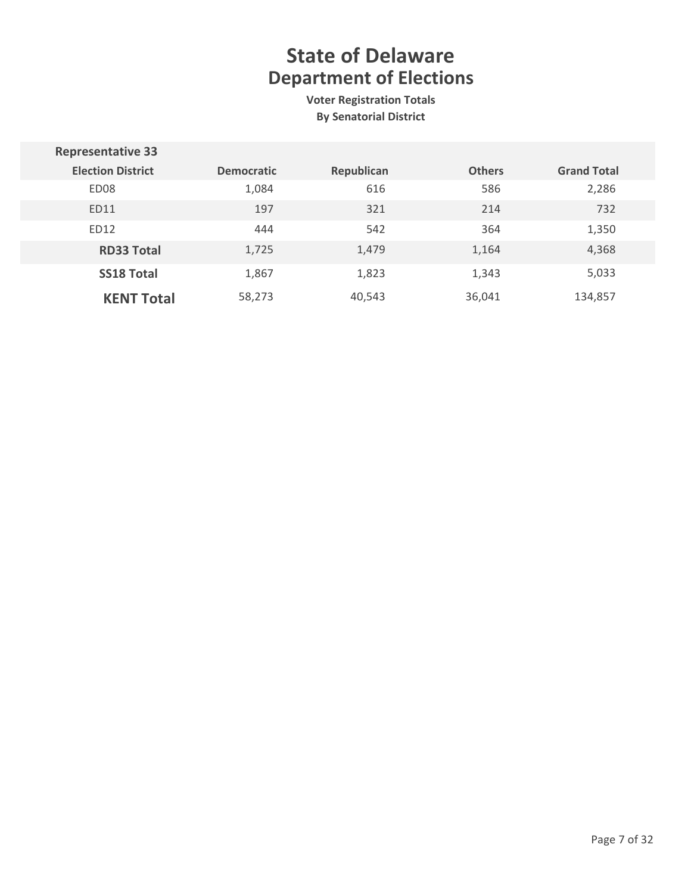| <b>Representative 33</b> |                   |            |               |                    |
|--------------------------|-------------------|------------|---------------|--------------------|
| <b>Election District</b> | <b>Democratic</b> | Republican | <b>Others</b> | <b>Grand Total</b> |
| ED <sub>08</sub>         | 1,084             | 616        | 586           | 2,286              |
| ED11                     | 197               | 321        | 214           | 732                |
| ED12                     | 444               | 542        | 364           | 1,350              |
| <b>RD33 Total</b>        | 1,725             | 1,479      | 1,164         | 4,368              |
| <b>SS18 Total</b>        | 1,867             | 1,823      | 1,343         | 5,033              |
| <b>KENT Total</b>        | 58,273            | 40,543     | 36,041        | 134,857            |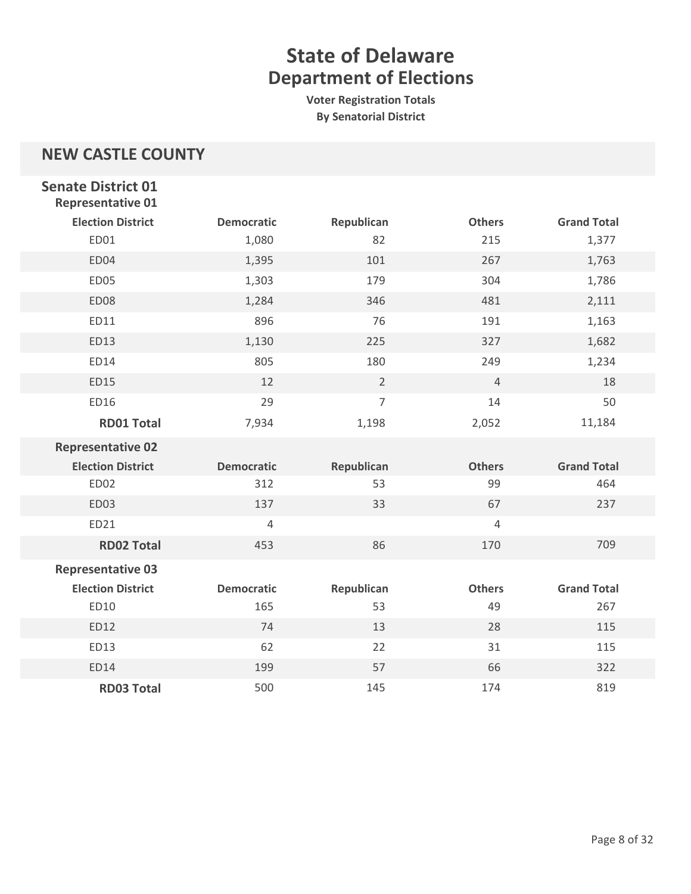**Voter Registration Totals By Senatorial District**

### **NEW CASTLE COUNTY**

| <b>Senate District 01</b><br><b>Representative 01</b> |                   |                |                |                    |
|-------------------------------------------------------|-------------------|----------------|----------------|--------------------|
| <b>Election District</b>                              | <b>Democratic</b> | Republican     | <b>Others</b>  | <b>Grand Total</b> |
| ED01                                                  | 1,080             | 82             | 215            | 1,377              |
| ED04                                                  | 1,395             | 101            | 267            | 1,763              |
| ED05                                                  | 1,303             | 179            | 304            | 1,786              |
| ED08                                                  | 1,284             | 346            | 481            | 2,111              |
| ED11                                                  | 896               | 76             | 191            | 1,163              |
| ED13                                                  | 1,130             | 225            | 327            | 1,682              |
| ED14                                                  | 805               | 180            | 249            | 1,234              |
| ED15                                                  | 12                | $\overline{2}$ | $\overline{4}$ | 18                 |
| ED16                                                  | 29                | $\overline{7}$ | 14             | 50                 |
| <b>RD01 Total</b>                                     | 7,934             | 1,198          | 2,052          | 11,184             |
| <b>Representative 02</b>                              |                   |                |                |                    |
|                                                       |                   |                |                |                    |
| <b>Election District</b>                              | <b>Democratic</b> | Republican     | <b>Others</b>  | <b>Grand Total</b> |
| <b>ED02</b>                                           | 312               | 53             | 99             | 464                |
| ED03                                                  | 137               | 33             | 67             | 237                |
| ED21                                                  | 4                 |                | 4              |                    |
| <b>RD02 Total</b>                                     | 453               | 86             | 170            | 709                |
| <b>Representative 03</b>                              |                   |                |                |                    |
| <b>Election District</b>                              | <b>Democratic</b> | Republican     | <b>Others</b>  | <b>Grand Total</b> |
| ED10                                                  | 165               | 53             | 49             | 267                |
| ED12                                                  | 74                | 13             | 28             | 115                |
| ED13                                                  | 62                | 22             | 31             | 115                |
| ED14                                                  | 199               | 57             | 66             | 322                |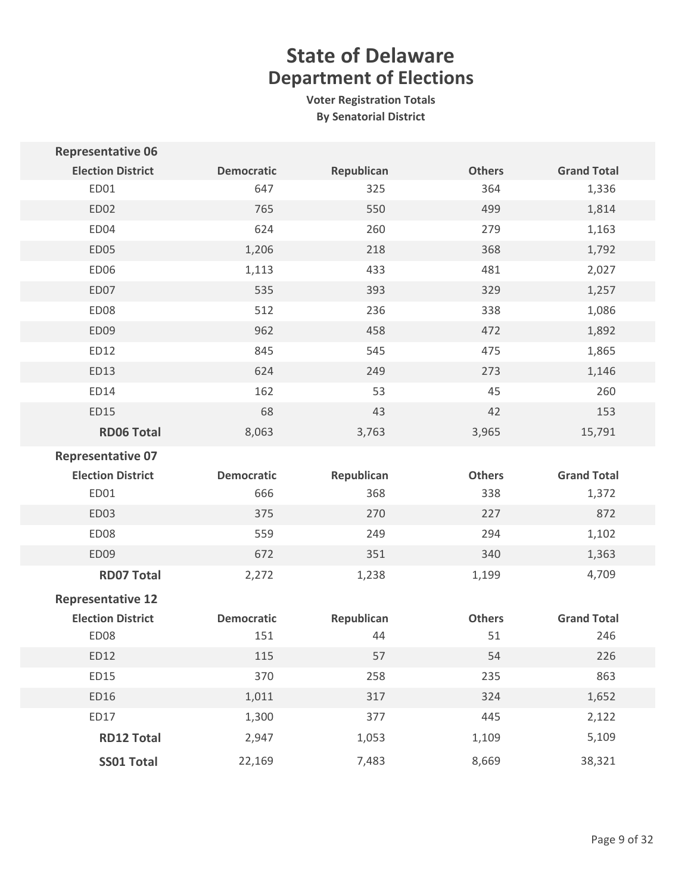| <b>Representative 06</b> |                   |            |               |                    |
|--------------------------|-------------------|------------|---------------|--------------------|
| <b>Election District</b> | <b>Democratic</b> | Republican | <b>Others</b> | <b>Grand Total</b> |
| ED01                     | 647               | 325        | 364           | 1,336              |
| ED02                     | 765               | 550        | 499           | 1,814              |
| ED04                     | 624               | 260        | 279           | 1,163              |
| <b>ED05</b>              | 1,206             | 218        | 368           | 1,792              |
| ED06                     | 1,113             | 433        | 481           | 2,027              |
| ED07                     | 535               | 393        | 329           | 1,257              |
| <b>ED08</b>              | 512               | 236        | 338           | 1,086              |
| ED09                     | 962               | 458        | 472           | 1,892              |
| ED12                     | 845               | 545        | 475           | 1,865              |
| ED13                     | 624               | 249        | 273           | 1,146              |
| ED14                     | 162               | 53         | 45            | 260                |
| <b>ED15</b>              | 68                | 43         | 42            | 153                |
| <b>RD06 Total</b>        | 8,063             | 3,763      | 3,965         | 15,791             |
| <b>Representative 07</b> |                   |            |               |                    |
|                          |                   |            |               |                    |
| <b>Election District</b> | <b>Democratic</b> | Republican | <b>Others</b> | <b>Grand Total</b> |
| ED01                     | 666               | 368        | 338           | 1,372              |
| <b>ED03</b>              | 375               | 270        | 227           | 872                |
| ED08                     | 559               | 249        | 294           | 1,102              |
| ED09                     | 672               | 351        | 340           | 1,363              |
| <b>RD07 Total</b>        | 2,272             | 1,238      | 1,199         | 4,709              |
| <b>Representative 12</b> |                   |            |               |                    |
| <b>Election District</b> | <b>Democratic</b> | Republican | <b>Others</b> | <b>Grand Total</b> |
| ED08                     | 151               | 44         | 51            | 246                |
| ED12                     | 115               | 57         | 54            | 226                |
| ED15                     | 370               | 258        | 235           | 863                |
| ED16                     | 1,011             | 317        | 324           | 1,652              |
| ED17                     | 1,300             | 377        | 445           | 2,122              |
| <b>RD12 Total</b>        | 2,947             | 1,053      | 1,109         | 5,109              |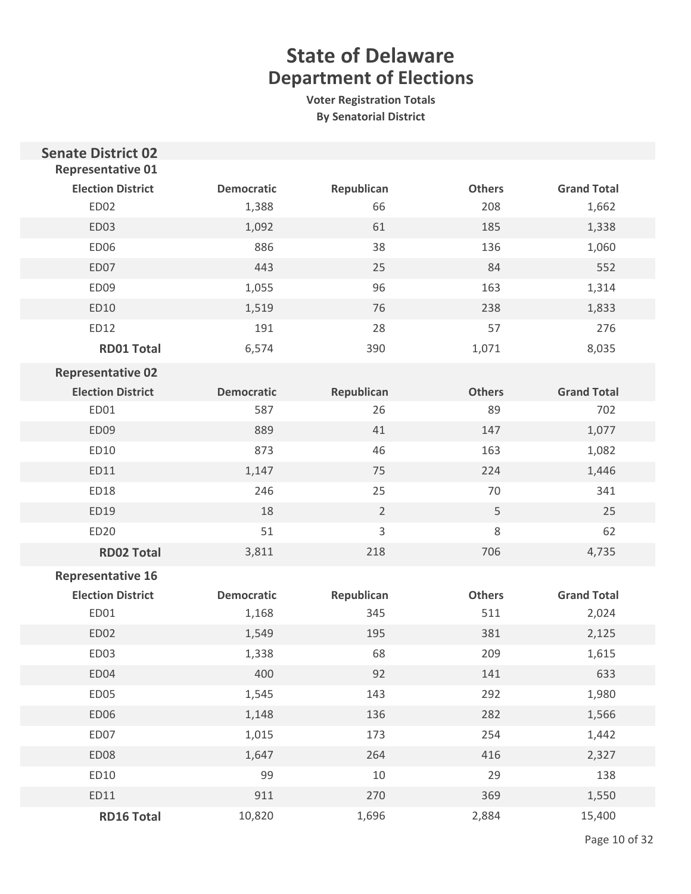| <b>Senate District 02</b><br><b>Representative 01</b> |                   |                |               |                    |
|-------------------------------------------------------|-------------------|----------------|---------------|--------------------|
| <b>Election District</b>                              | <b>Democratic</b> | Republican     | <b>Others</b> | <b>Grand Total</b> |
| ED02                                                  | 1,388             | 66             | 208           | 1,662              |
| ED03                                                  | 1,092             | 61             | 185           | 1,338              |
| ED06                                                  | 886               | 38             | 136           | 1,060              |
| ED07                                                  | 443               | 25             | 84            | 552                |
| ED09                                                  | 1,055             | 96             | 163           | 1,314              |
| ED10                                                  | 1,519             | 76             | 238           | 1,833              |
| ED12                                                  | 191               | 28             | 57            | 276                |
| <b>RD01 Total</b>                                     | 6,574             | 390            | 1,071         | 8,035              |
| <b>Representative 02</b>                              |                   |                |               |                    |
| <b>Election District</b>                              | <b>Democratic</b> | Republican     | <b>Others</b> | <b>Grand Total</b> |
| ED01                                                  | 587               | 26             | 89            | 702                |
| ED09                                                  | 889               | 41             | 147           | 1,077              |
| ED10                                                  | 873               | 46             | 163           | 1,082              |
| ED11                                                  | 1,147             | 75             | 224           | 1,446              |
| ED18                                                  | 246               | 25             | 70            | 341                |
| ED19                                                  | 18                | $\overline{2}$ | 5             | 25                 |
| <b>ED20</b>                                           | 51                | $\mathsf 3$    | 8             | 62                 |
| <b>RD02 Total</b>                                     | 3,811             | 218            | 706           | 4,735              |
| <b>Representative 16</b>                              |                   |                |               |                    |
| <b>Election District</b>                              | <b>Democratic</b> | Republican     | <b>Others</b> | <b>Grand Total</b> |
| ED01                                                  | 1,168             | 345            | 511           | 2,024              |
| ED02                                                  | 1,549             | 195            | 381           | 2,125              |
| ED03                                                  | 1,338             | 68             | 209           | 1,615              |
| ED04                                                  | 400               | 92             | 141           | 633                |
| ED05                                                  | 1,545             | 143            | 292           | 1,980              |
| ED06                                                  | 1,148             | 136            | 282           | 1,566              |
| ED07                                                  | 1,015             | 173            | 254           | 1,442              |
| ED08                                                  | 1,647             | 264            | 416           | 2,327              |
| ED10                                                  | 99                | 10             | 29            | 138                |
| ED11                                                  | 911               | 270            | 369           | 1,550              |
| <b>RD16 Total</b>                                     | 10,820            | 1,696          | 2,884         | 15,400             |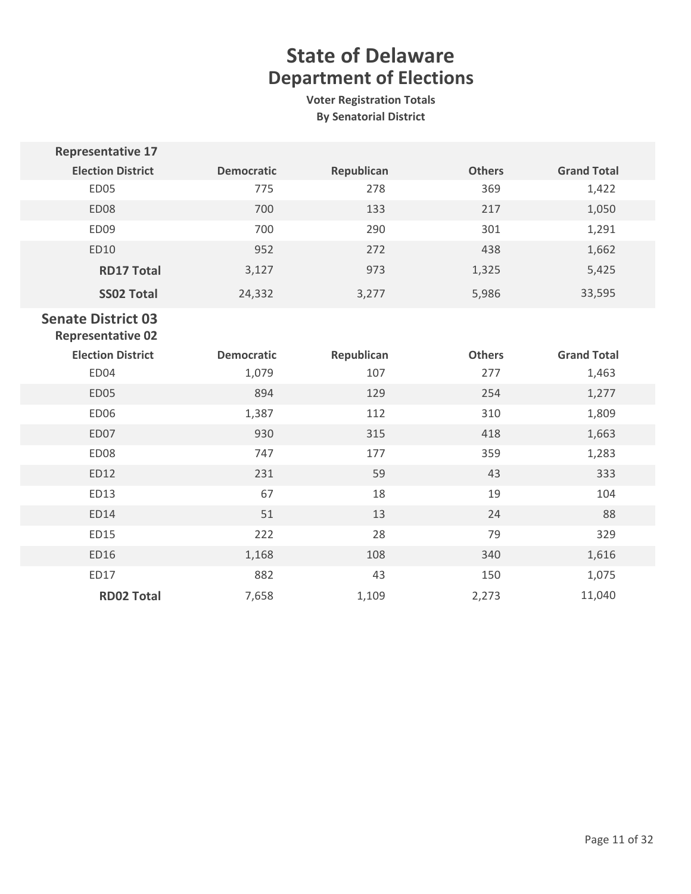| <b>Representative 17</b>                              |                   |            |               |                    |
|-------------------------------------------------------|-------------------|------------|---------------|--------------------|
| <b>Election District</b>                              | <b>Democratic</b> | Republican | <b>Others</b> | <b>Grand Total</b> |
| ED05                                                  | 775               | 278        | 369           | 1,422              |
| ED08                                                  | 700               | 133        | 217           | 1,050              |
| ED09                                                  | 700               | 290        | 301           | 1,291              |
| ED10                                                  | 952               | 272        | 438           | 1,662              |
| <b>RD17 Total</b>                                     | 3,127             | 973        | 1,325         | 5,425              |
| <b>SS02 Total</b>                                     | 24,332            | 3,277      | 5,986         | 33,595             |
| <b>Senate District 03</b><br><b>Representative 02</b> |                   |            |               |                    |
| <b>Election District</b>                              | <b>Democratic</b> | Republican | <b>Others</b> | <b>Grand Total</b> |
| ED04                                                  | 1,079             | 107        | 277           | 1,463              |
| <b>ED05</b>                                           | 894               | 129        | 254           | 1,277              |
| <b>ED06</b>                                           | 1,387             | 112        | 310           | 1,809              |
| ED07                                                  | 930               | 315        | 418           | 1,663              |
| ED08                                                  | 747               | 177        | 359           | 1,283              |
| ED12                                                  | 231               | 59         | 43            | 333                |
| ED13                                                  | 67                | 18         | 19            | 104                |
| ED14                                                  | 51                | 13         | 24            | 88                 |
| ED15                                                  | 222               | 28         | 79            | 329                |
| ED16                                                  | 1,168             | 108        | 340           | 1,616              |
| ED17                                                  | 882               | 43         | 150           | 1,075              |
| <b>RD02 Total</b>                                     | 7,658             | 1,109      | 2,273         | 11,040             |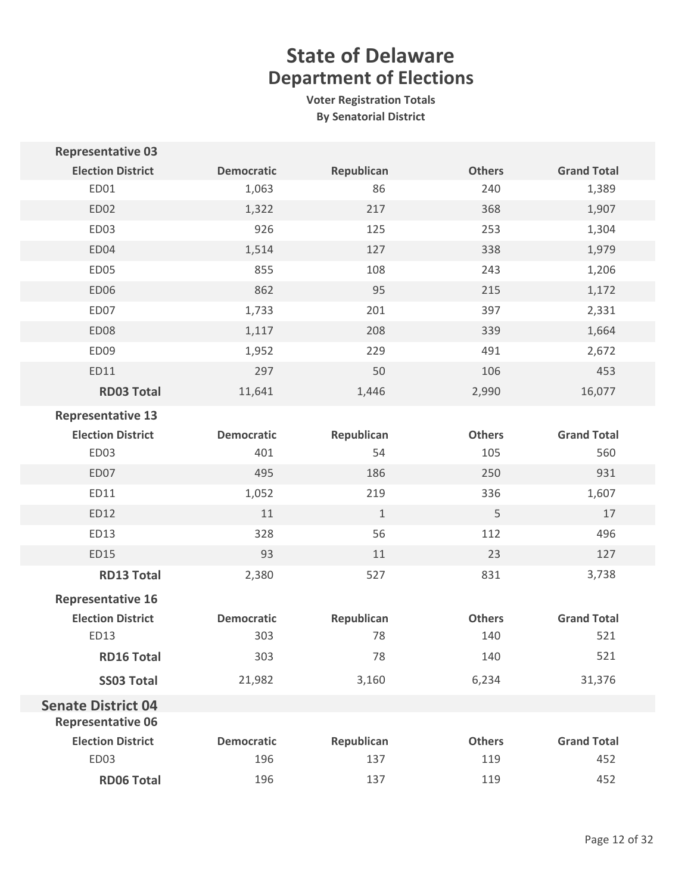| <b>Representative 03</b>  |                   |             |               |                    |
|---------------------------|-------------------|-------------|---------------|--------------------|
| <b>Election District</b>  | <b>Democratic</b> | Republican  | <b>Others</b> | <b>Grand Total</b> |
| ED01                      | 1,063             | 86          | 240           | 1,389              |
| <b>ED02</b>               | 1,322             | 217         | 368           | 1,907              |
| ED03                      | 926               | 125         | 253           | 1,304              |
| ED04                      | 1,514             | 127         | 338           | 1,979              |
| ED05                      | 855               | 108         | 243           | 1,206              |
| <b>ED06</b>               | 862               | 95          | 215           | 1,172              |
| ED07                      | 1,733             | 201         | 397           | 2,331              |
| <b>ED08</b>               | 1,117             | 208         | 339           | 1,664              |
| ED09                      | 1,952             | 229         | 491           | 2,672              |
| ED11                      | 297               | 50          | 106           | 453                |
| <b>RD03 Total</b>         | 11,641            | 1,446       | 2,990         | 16,077             |
| <b>Representative 13</b>  |                   |             |               |                    |
| <b>Election District</b>  | <b>Democratic</b> | Republican  | <b>Others</b> | <b>Grand Total</b> |
| ED03                      | 401               | 54          | 105           | 560                |
| ED07                      | 495               | 186         | 250           | 931                |
| ED11                      | 1,052             | 219         | 336           | 1,607              |
| ED12                      | 11                | $\mathbf 1$ | 5             | 17                 |
| ED13                      | 328               | 56          | 112           | 496                |
| ED15                      | 93                | 11          | 23            | 127                |
| <b>RD13 Total</b>         | 2,380             | 527         | 831           | 3,738              |
| <b>Representative 16</b>  |                   |             |               |                    |
| <b>Election District</b>  | <b>Democratic</b> | Republican  | <b>Others</b> | <b>Grand Total</b> |
| ED13                      | 303               | 78          | 140           | 521                |
| <b>RD16 Total</b>         | 303               | 78          | 140           | 521                |
| <b>SS03 Total</b>         | 21,982            | 3,160       | 6,234         | 31,376             |
| <b>Senate District 04</b> |                   |             |               |                    |
| <b>Representative 06</b>  |                   |             |               |                    |
| <b>Election District</b>  | <b>Democratic</b> | Republican  | <b>Others</b> | <b>Grand Total</b> |
| ED03                      | 196               | 137         | 119           | 452                |
| <b>RD06 Total</b>         | 196               | 137         | 119           | 452                |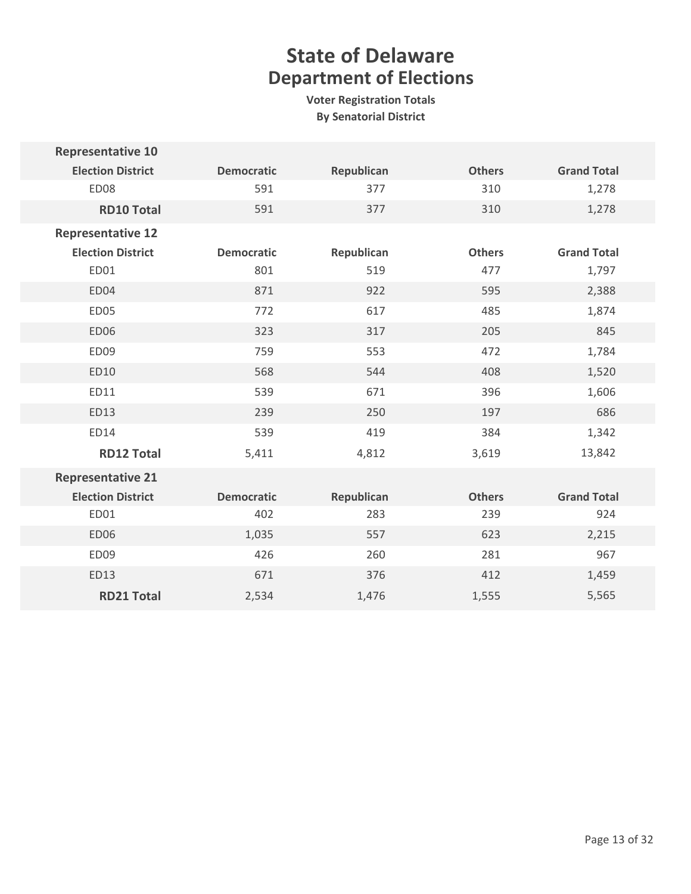| <b>Representative 10</b> |                   |            |               |                    |
|--------------------------|-------------------|------------|---------------|--------------------|
| <b>Election District</b> | <b>Democratic</b> | Republican | <b>Others</b> | <b>Grand Total</b> |
| ED08                     | 591               | 377        | 310           | 1,278              |
| <b>RD10 Total</b>        | 591               | 377        | 310           | 1,278              |
| <b>Representative 12</b> |                   |            |               |                    |
| <b>Election District</b> | <b>Democratic</b> | Republican | <b>Others</b> | <b>Grand Total</b> |
| ED01                     | 801               | 519        | 477           | 1,797              |
| ED04                     | 871               | 922        | 595           | 2,388              |
| ED05                     | 772               | 617        | 485           | 1,874              |
| <b>ED06</b>              | 323               | 317        | 205           | 845                |
| ED09                     | 759               | 553        | 472           | 1,784              |
| ED10                     | 568               | 544        | 408           | 1,520              |
| ED11                     | 539               | 671        | 396           | 1,606              |
| ED13                     | 239               | 250        | 197           | 686                |
| ED14                     | 539               | 419        | 384           | 1,342              |
| <b>RD12 Total</b>        | 5,411             | 4,812      | 3,619         | 13,842             |
| <b>Representative 21</b> |                   |            |               |                    |
| <b>Election District</b> | <b>Democratic</b> | Republican | <b>Others</b> | <b>Grand Total</b> |
| ED01                     | 402               | 283        | 239           | 924                |
| <b>ED06</b>              | 1,035             | 557        | 623           | 2,215              |
| ED09                     | 426               | 260        | 281           | 967                |
| ED13                     | 671               | 376        | 412           | 1,459              |
| <b>RD21 Total</b>        | 2,534             | 1,476      | 1,555         | 5,565              |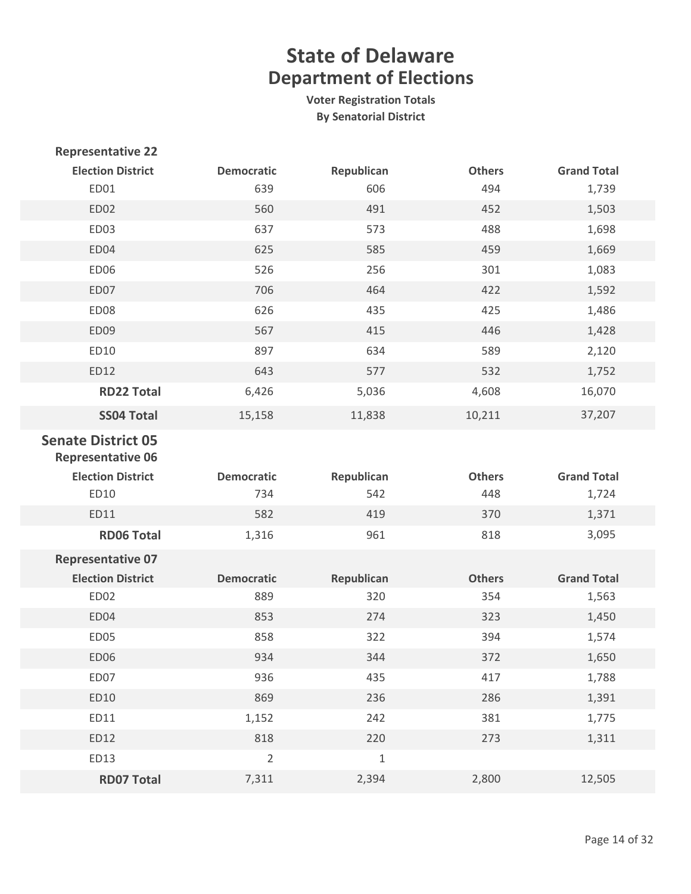| <b>Representative 22</b>                              |                   |             |               |                    |
|-------------------------------------------------------|-------------------|-------------|---------------|--------------------|
| <b>Election District</b>                              | <b>Democratic</b> | Republican  | <b>Others</b> | <b>Grand Total</b> |
| ED01                                                  | 639               | 606         | 494           | 1,739              |
| ED02                                                  | 560               | 491         | 452           | 1,503              |
| ED03                                                  | 637               | 573         | 488           | 1,698              |
| ED04                                                  | 625               | 585         | 459           | 1,669              |
| <b>ED06</b>                                           | 526               | 256         | 301           | 1,083              |
| ED07                                                  | 706               | 464         | 422           | 1,592              |
| ED08                                                  | 626               | 435         | 425           | 1,486              |
| ED09                                                  | 567               | 415         | 446           | 1,428              |
| ED10                                                  | 897               | 634         | 589           | 2,120              |
| ED12                                                  | 643               | 577         | 532           | 1,752              |
| <b>RD22 Total</b>                                     | 6,426             | 5,036       | 4,608         | 16,070             |
| <b>SS04 Total</b>                                     | 15,158            | 11,838      | 10,211        | 37,207             |
| <b>Senate District 05</b><br><b>Representative 06</b> |                   |             |               |                    |
|                                                       |                   |             |               |                    |
| <b>Election District</b>                              | <b>Democratic</b> | Republican  | <b>Others</b> | <b>Grand Total</b> |
| ED10                                                  | 734               | 542         | 448           | 1,724              |
| ED11                                                  | 582               | 419         | 370           | 1,371              |
| <b>RD06 Total</b>                                     | 1,316             | 961         | 818           | 3,095              |
| <b>Representative 07</b>                              |                   |             |               |                    |
| <b>Election District</b>                              | <b>Democratic</b> | Republican  | <b>Others</b> | <b>Grand Total</b> |
| ED02                                                  | 889               | 320         | 354           | 1,563              |
| ED04                                                  | 853               | 274         | 323           | 1,450              |
| ED05                                                  | 858               | 322         | 394           | 1,574              |
| <b>ED06</b>                                           | 934               | 344         | 372           | 1,650              |
| ED07                                                  | 936               | 435         | 417           | 1,788              |
| ED10                                                  | 869               | 236         | 286           | 1,391              |
| ED11                                                  | 1,152             | 242         | 381           | 1,775              |
| ED12                                                  | 818               | 220         | 273           | 1,311              |
| ED13                                                  | $\overline{2}$    | $\mathbf 1$ |               |                    |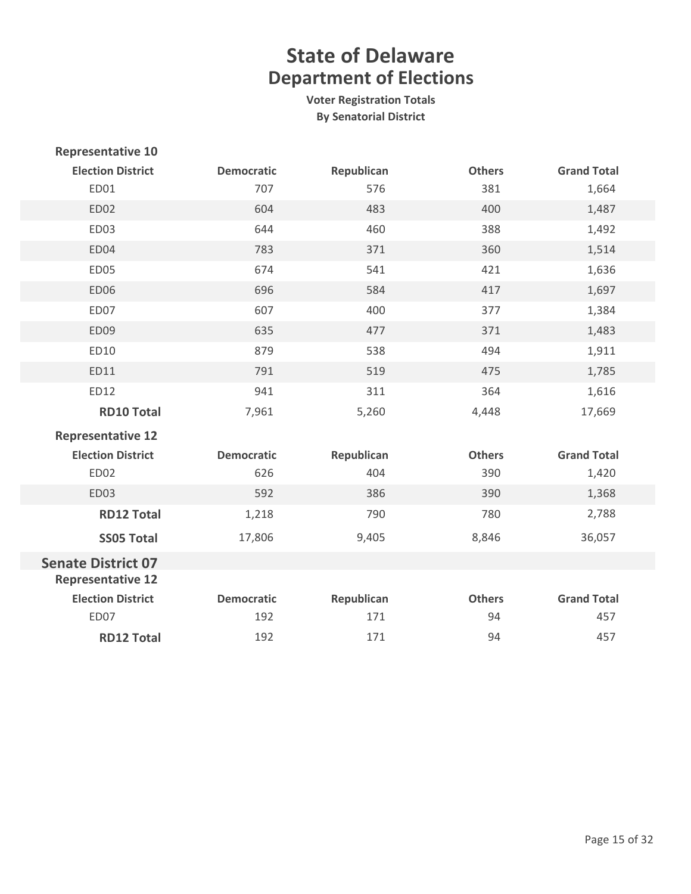| <b>Representative 10</b>  |                   |            |               |                    |
|---------------------------|-------------------|------------|---------------|--------------------|
| <b>Election District</b>  | <b>Democratic</b> | Republican | <b>Others</b> | <b>Grand Total</b> |
| ED01                      | 707               | 576        | 381           | 1,664              |
| <b>ED02</b>               | 604               | 483        | 400           | 1,487              |
| ED03                      | 644               | 460        | 388           | 1,492              |
| ED04                      | 783               | 371        | 360           | 1,514              |
| ED05                      | 674               | 541        | 421           | 1,636              |
| <b>ED06</b>               | 696               | 584        | 417           | 1,697              |
| ED07                      | 607               | 400        | 377           | 1,384              |
| <b>ED09</b>               | 635               | 477        | 371           | 1,483              |
| ED10                      | 879               | 538        | 494           | 1,911              |
| ED11                      | 791               | 519        | 475           | 1,785              |
| ED12                      | 941               | 311        | 364           | 1,616              |
| <b>RD10 Total</b>         | 7,961             | 5,260      | 4,448         | 17,669             |
| <b>Representative 12</b>  |                   |            |               |                    |
| <b>Election District</b>  | <b>Democratic</b> | Republican | <b>Others</b> | <b>Grand Total</b> |
| ED02                      | 626               | 404        | 390           | 1,420              |
| ED03                      | 592               | 386        | 390           | 1,368              |
| <b>RD12 Total</b>         | 1,218             | 790        | 780           | 2,788              |
| <b>SS05 Total</b>         | 17,806            | 9,405      | 8,846         | 36,057             |
| <b>Senate District 07</b> |                   |            |               |                    |
| <b>Representative 12</b>  |                   |            |               |                    |
| <b>Election District</b>  | <b>Democratic</b> | Republican | <b>Others</b> | <b>Grand Total</b> |
| ED07                      | 192               | 171        | 94            | 457                |
| <b>RD12 Total</b>         | 192               | 171        | 94            | 457                |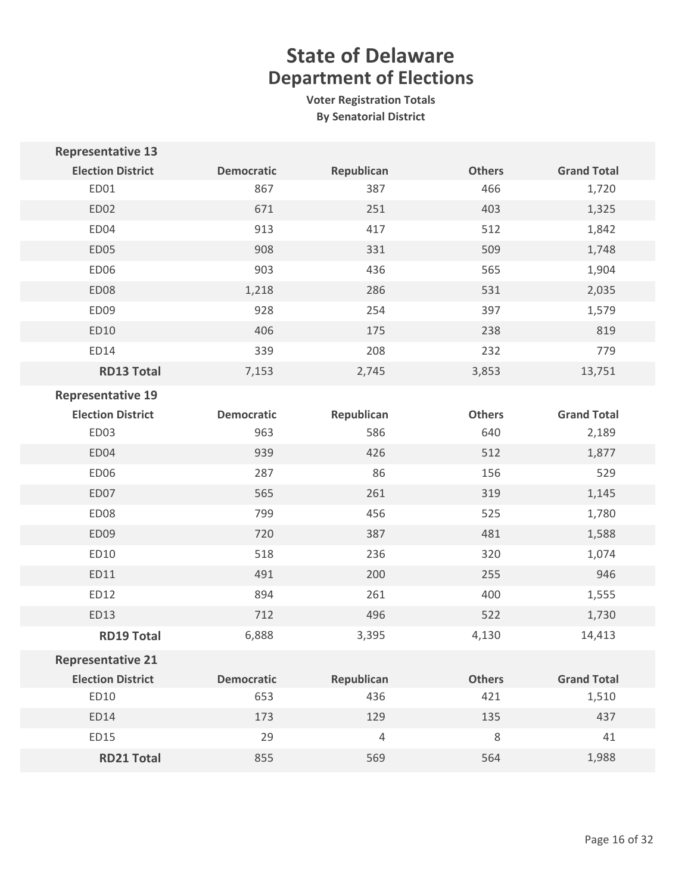| <b>Representative 13</b> |                   |            |               |                    |
|--------------------------|-------------------|------------|---------------|--------------------|
| <b>Election District</b> | <b>Democratic</b> | Republican | <b>Others</b> | <b>Grand Total</b> |
| ED01                     | 867               | 387        | 466           | 1,720              |
| <b>ED02</b>              | 671               | 251        | 403           | 1,325              |
| ED04                     | 913               | 417        | 512           | 1,842              |
| <b>ED05</b>              | 908               | 331        | 509           | 1,748              |
| <b>ED06</b>              | 903               | 436        | 565           | 1,904              |
| ED08                     | 1,218             | 286        | 531           | 2,035              |
| ED09                     | 928               | 254        | 397           | 1,579              |
| ED10                     | 406               | 175        | 238           | 819                |
| ED14                     | 339               | 208        | 232           | 779                |
| <b>RD13 Total</b>        | 7,153             | 2,745      | 3,853         | 13,751             |
| <b>Representative 19</b> |                   |            |               |                    |
| <b>Election District</b> | <b>Democratic</b> | Republican | <b>Others</b> | <b>Grand Total</b> |
| ED03                     | 963               | 586        | 640           | 2,189              |
| ED04                     | 939               | 426        | 512           | 1,877              |
| ED06                     | 287               | 86         | 156           | 529                |
| ED07                     | 565               | 261        | 319           | 1,145              |
| ED08                     | 799               | 456        | 525           | 1,780              |
| ED09                     | 720               | 387        | 481           | 1,588              |
| ED10                     | 518               | 236        | 320           | 1,074              |
| ED11                     | 491               | 200        | 255           | 946                |
| ED12                     | 894               | 261        | 400           | 1,555              |
| ED13                     | 712               | 496        | 522           | 1,730              |
| <b>RD19 Total</b>        | 6,888             | 3,395      | 4,130         | 14,413             |
| <b>Representative 21</b> |                   |            |               |                    |
| <b>Election District</b> | <b>Democratic</b> | Republican | <b>Others</b> | <b>Grand Total</b> |
| ED10                     | 653               | 436        | 421           | 1,510              |
| ED14                     | 173               | 129        | 135           | 437                |
| ED15                     | 29                | $\sqrt{4}$ | $\,8\,$       | 41                 |
| <b>RD21 Total</b>        | 855               | 569        | 564           | 1,988              |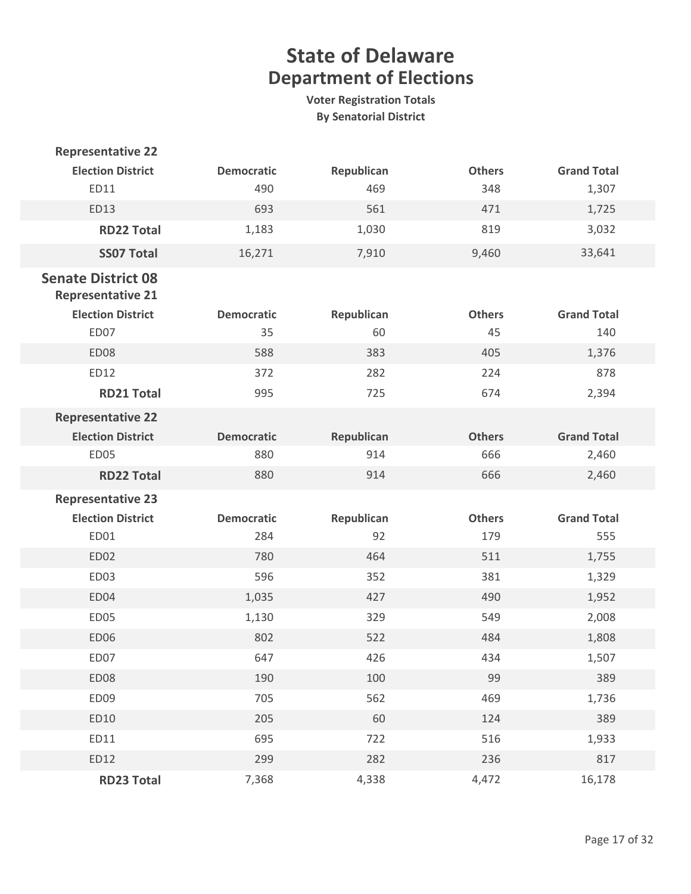| <b>Representative 22</b>                              |                          |                  |                      |                           |
|-------------------------------------------------------|--------------------------|------------------|----------------------|---------------------------|
| <b>Election District</b>                              | <b>Democratic</b>        | Republican       | <b>Others</b>        | <b>Grand Total</b>        |
| ED11                                                  | 490                      | 469              | 348                  | 1,307                     |
| ED13                                                  | 693                      | 561              | 471                  | 1,725                     |
| <b>RD22 Total</b>                                     | 1,183                    | 1,030            | 819                  | 3,032                     |
| <b>SS07 Total</b>                                     | 16,271                   | 7,910            | 9,460                | 33,641                    |
| <b>Senate District 08</b><br><b>Representative 21</b> |                          |                  |                      |                           |
| <b>Election District</b><br>ED07                      | <b>Democratic</b><br>35  | Republican<br>60 | <b>Others</b><br>45  | <b>Grand Total</b><br>140 |
| ED08                                                  | 588                      | 383              | 405                  | 1,376                     |
| ED12                                                  | 372                      | 282              | 224                  | 878                       |
| <b>RD21 Total</b>                                     | 995                      | 725              | 674                  | 2,394                     |
| <b>Representative 22</b>                              |                          |                  |                      |                           |
| <b>Election District</b>                              | <b>Democratic</b>        | Republican       | <b>Others</b>        | <b>Grand Total</b>        |
| ED05                                                  | 880                      | 914              | 666                  | 2,460                     |
| <b>RD22 Total</b>                                     | 880                      | 914              | 666                  | 2,460                     |
| <b>Representative 23</b>                              |                          |                  |                      |                           |
| <b>Election District</b><br>ED01                      | <b>Democratic</b><br>284 | Republican<br>92 | <b>Others</b><br>179 | <b>Grand Total</b><br>555 |
| ED02                                                  | 780                      | 464              | 511                  | 1,755                     |
| ED03                                                  | 596                      | 352              | 381                  | 1,329                     |
| ED04                                                  | 1,035                    | 427              | 490                  | 1,952                     |
| ED05                                                  | 1,130                    | 329              | 549                  | 2,008                     |
| ED06                                                  | 802                      | 522              | 484                  | 1,808                     |
| ED07                                                  | 647                      | 426              | 434                  | 1,507                     |
| ED08                                                  | 190                      | 100              | 99                   | 389                       |
| ED09                                                  | 705                      | 562              | 469                  | 1,736                     |
| ED10                                                  | 205                      | 60               | 124                  | 389                       |
| ED11                                                  | 695                      | 722              | 516                  | 1,933                     |
| ED12                                                  | 299                      | 282              | 236                  | 817                       |
| <b>RD23 Total</b>                                     | 7,368                    | 4,338            | 4,472                | 16,178                    |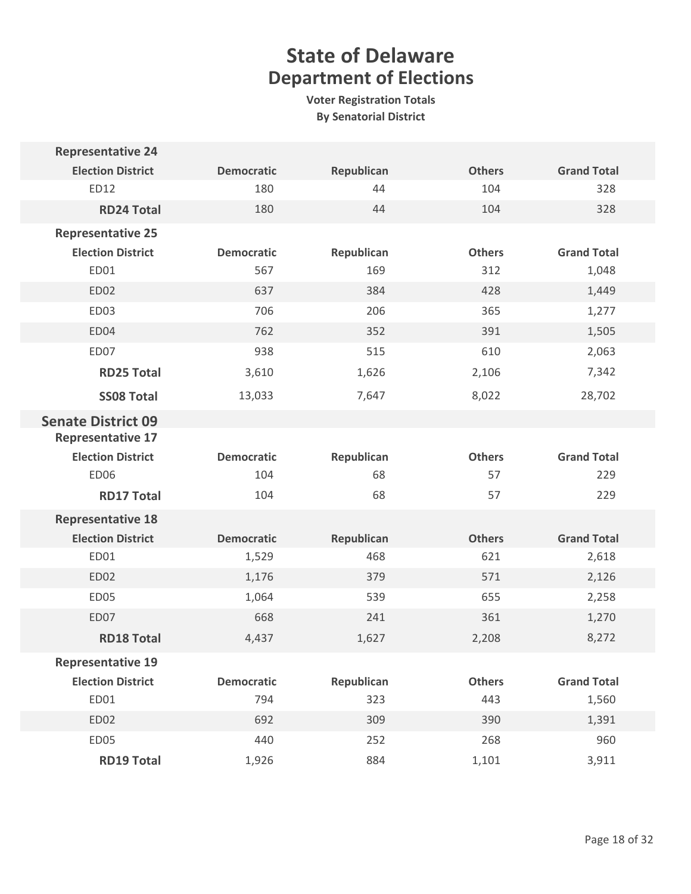| <b>Representative 24</b>  |                   |            |               |                    |
|---------------------------|-------------------|------------|---------------|--------------------|
| <b>Election District</b>  | <b>Democratic</b> | Republican | <b>Others</b> | <b>Grand Total</b> |
| ED12                      | 180               | 44         | 104           | 328                |
| <b>RD24 Total</b>         | 180               | 44         | 104           | 328                |
| <b>Representative 25</b>  |                   |            |               |                    |
| <b>Election District</b>  | <b>Democratic</b> | Republican | <b>Others</b> | <b>Grand Total</b> |
| ED01                      | 567               | 169        | 312           | 1,048              |
| <b>ED02</b>               | 637               | 384        | 428           | 1,449              |
| <b>ED03</b>               | 706               | 206        | 365           | 1,277              |
| ED04                      | 762               | 352        | 391           | 1,505              |
| ED07                      | 938               | 515        | 610           | 2,063              |
| <b>RD25 Total</b>         | 3,610             | 1,626      | 2,106         | 7,342              |
| <b>SS08 Total</b>         | 13,033            | 7,647      | 8,022         | 28,702             |
| <b>Senate District 09</b> |                   |            |               |                    |
| <b>Representative 17</b>  |                   |            |               |                    |
| <b>Election District</b>  | <b>Democratic</b> | Republican | <b>Others</b> | <b>Grand Total</b> |
| ED06                      | 104               | 68         | 57            | 229                |
| <b>RD17 Total</b>         | 104               | 68         | 57            | 229                |
| <b>Representative 18</b>  |                   |            |               |                    |
| <b>Election District</b>  | <b>Democratic</b> | Republican | <b>Others</b> | <b>Grand Total</b> |
| ED01                      | 1,529             | 468        | 621           | 2,618              |
| <b>ED02</b>               | 1,176             | 379        | 571           | 2,126              |
| ED05                      | 1,064             | 539        | 655           | 2,258              |
| ED07                      | 668               | 241        | 361           | 1,270              |
| <b>RD18 Total</b>         | 4,437             | 1,627      | 2,208         | 8,272              |
| <b>Representative 19</b>  |                   |            |               |                    |
| <b>Election District</b>  | <b>Democratic</b> | Republican | <b>Others</b> | <b>Grand Total</b> |
| ED01                      | 794               | 323        | 443           | 1,560              |
| ED02                      | 692               | 309        | 390           | 1,391              |
| <b>ED05</b>               | 440               | 252        | 268           | 960                |
| <b>RD19 Total</b>         | 1,926             | 884        | 1,101         | 3,911              |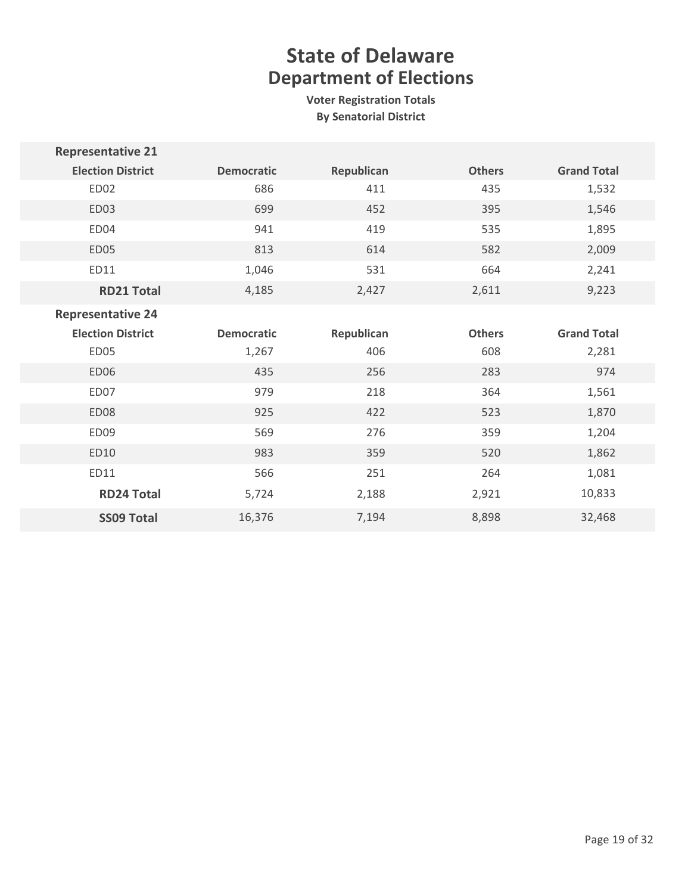| <b>Representative 21</b> |                   |            |               |                    |
|--------------------------|-------------------|------------|---------------|--------------------|
| <b>Election District</b> | <b>Democratic</b> | Republican | <b>Others</b> | <b>Grand Total</b> |
| ED02                     | 686               | 411        | 435           | 1,532              |
| ED03                     | 699               | 452        | 395           | 1,546              |
| ED04                     | 941               | 419        | 535           | 1,895              |
| <b>ED05</b>              | 813               | 614        | 582           | 2,009              |
| ED11                     | 1,046             | 531        | 664           | 2,241              |
| <b>RD21 Total</b>        | 4,185             | 2,427      | 2,611         | 9,223              |
| <b>Representative 24</b> |                   |            |               |                    |
| <b>Election District</b> | <b>Democratic</b> | Republican | <b>Others</b> | <b>Grand Total</b> |
| ED05                     | 1,267             | 406        | 608           | 2,281              |
| <b>ED06</b>              | 435               | 256        | 283           | 974                |
| ED07                     | 979               | 218        | 364           | 1,561              |
| <b>ED08</b>              | 925               | 422        | 523           | 1,870              |
| ED09                     | 569               | 276        | 359           | 1,204              |
| ED10                     | 983               | 359        | 520           | 1,862              |
| ED11                     | 566               | 251        | 264           | 1,081              |
| <b>RD24 Total</b>        | 5,724             | 2,188      | 2,921         | 10,833             |
| <b>SS09 Total</b>        | 16,376            | 7,194      | 8,898         | 32,468             |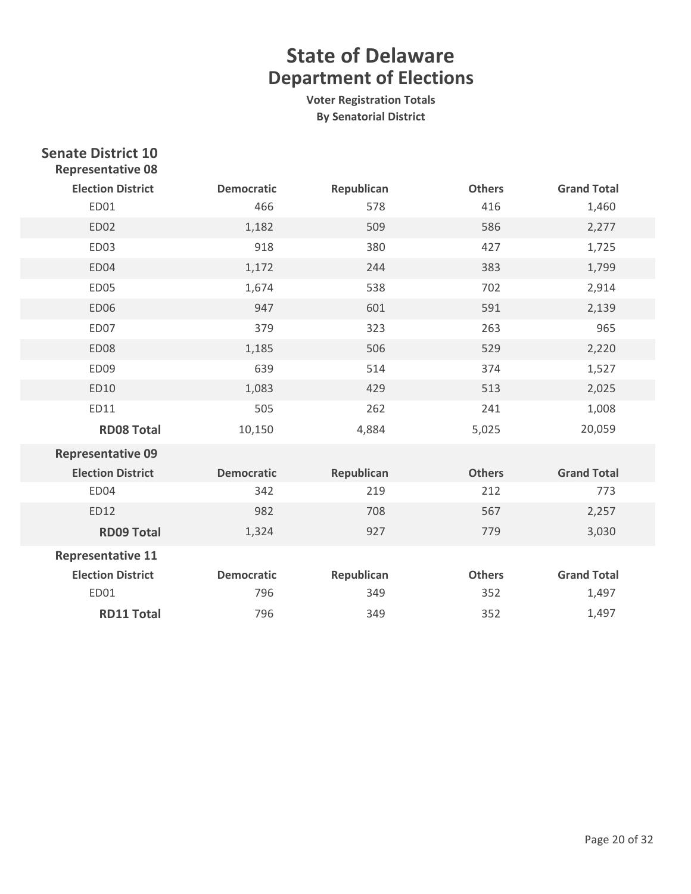| <b>Senate District 10</b><br><b>Representative 08</b> |                   |            |               |                    |
|-------------------------------------------------------|-------------------|------------|---------------|--------------------|
| <b>Election District</b>                              | <b>Democratic</b> | Republican | <b>Others</b> | <b>Grand Total</b> |
| ED01                                                  | 466               | 578        | 416           | 1,460              |
| <b>ED02</b>                                           | 1,182             | 509        | 586           | 2,277              |
| <b>ED03</b>                                           | 918               | 380        | 427           | 1,725              |
| ED04                                                  | 1,172             | 244        | 383           | 1,799              |
| <b>ED05</b>                                           | 1,674             | 538        | 702           | 2,914              |
| <b>ED06</b>                                           | 947               | 601        | 591           | 2,139              |
| ED07                                                  | 379               | 323        | 263           | 965                |
| <b>ED08</b>                                           | 1,185             | 506        | 529           | 2,220              |
| ED09                                                  | 639               | 514        | 374           | 1,527              |
| ED10                                                  | 1,083             | 429        | 513           | 2,025              |
| ED11                                                  | 505               | 262        | 241           | 1,008              |
| <b>RD08 Total</b>                                     | 10,150            | 4,884      | 5,025         | 20,059             |
| <b>Representative 09</b>                              |                   |            |               |                    |
| <b>Election District</b>                              | <b>Democratic</b> | Republican | <b>Others</b> | <b>Grand Total</b> |
| ED04                                                  | 342               | 219        | 212           | 773                |
| ED12                                                  | 982               | 708        | 567           | 2,257              |
| <b>RD09 Total</b>                                     | 1,324             | 927        | 779           | 3,030              |
| <b>Representative 11</b>                              |                   |            |               |                    |
| <b>Election District</b>                              | <b>Democratic</b> | Republican | <b>Others</b> | <b>Grand Total</b> |
| ED01                                                  | 796               | 349        | 352           | 1,497              |
| <b>RD11 Total</b>                                     | 796               | 349        | 352           | 1,497              |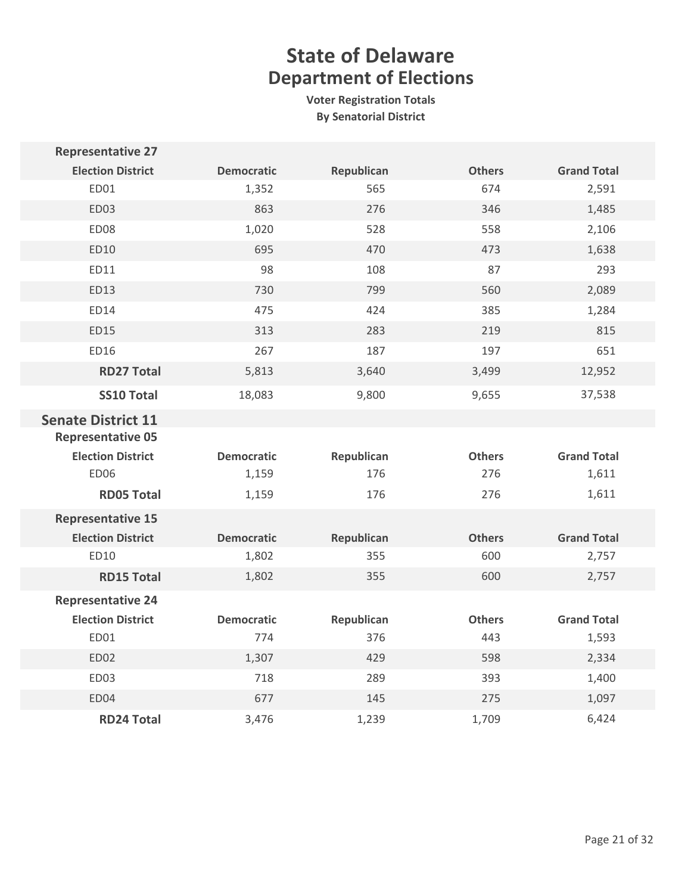| <b>Representative 27</b>                                                          |                   |            |               |                    |
|-----------------------------------------------------------------------------------|-------------------|------------|---------------|--------------------|
| <b>Election District</b>                                                          | <b>Democratic</b> | Republican | <b>Others</b> | <b>Grand Total</b> |
| ED01                                                                              | 1,352             | 565        | 674           | 2,591              |
| ED03                                                                              | 863               | 276        | 346           | 1,485              |
| ED08                                                                              | 1,020             | 528        | 558           | 2,106              |
| ED10                                                                              | 695               | 470        | 473           | 1,638              |
| ED11                                                                              | 98                | 108        | 87            | 293                |
| ED13                                                                              | 730               | 799        | 560           | 2,089              |
| ED14                                                                              | 475               | 424        | 385           | 1,284              |
| <b>ED15</b>                                                                       | 313               | 283        | 219           | 815                |
| ED16                                                                              | 267               | 187        | 197           | 651                |
| <b>RD27 Total</b>                                                                 | 5,813             | 3,640      | 3,499         | 12,952             |
| <b>SS10 Total</b>                                                                 | 18,083            | 9,800      | 9,655         | 37,538             |
| <b>Senate District 11</b><br><b>Representative 05</b><br><b>Election District</b> | <b>Democratic</b> | Republican | <b>Others</b> | <b>Grand Total</b> |
| <b>ED06</b>                                                                       | 1,159             | 176        | 276           | 1,611              |
| <b>RD05 Total</b>                                                                 | 1,159             | 176        | 276           | 1,611              |
| <b>Representative 15</b>                                                          |                   |            |               |                    |
| <b>Election District</b>                                                          | <b>Democratic</b> | Republican | <b>Others</b> | <b>Grand Total</b> |
| ED10                                                                              | 1,802             | 355        | 600           | 2,757              |
| <b>RD15 Total</b>                                                                 | 1,802             | 355        | 600           | 2,757              |
| <b>Representative 24</b>                                                          |                   |            |               |                    |
| <b>Election District</b>                                                          | <b>Democratic</b> | Republican | <b>Others</b> | <b>Grand Total</b> |
| ED01                                                                              | 774               | 376        | 443           | 1,593              |
| <b>ED02</b>                                                                       | 1,307             | 429        | 598           | 2,334              |
| ED03                                                                              | 718               | 289        | 393           | 1,400              |
| ED04                                                                              | 677               | 145        | 275           | 1,097              |
| <b>RD24 Total</b>                                                                 | 3,476             | 1,239      | 1,709         | 6,424              |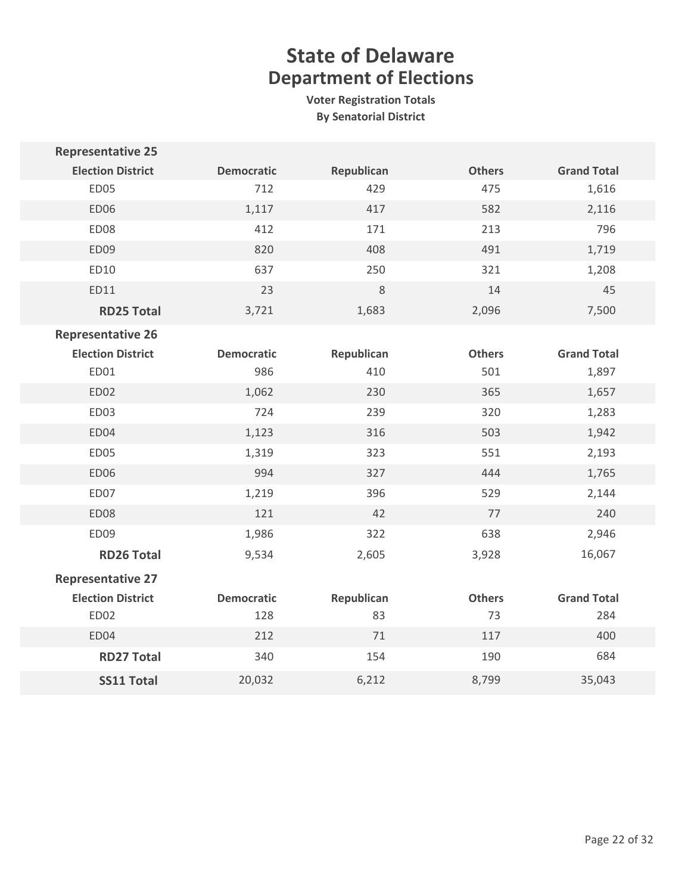| <b>Representative 25</b> |                   |            |               |                    |
|--------------------------|-------------------|------------|---------------|--------------------|
| <b>Election District</b> | <b>Democratic</b> | Republican | <b>Others</b> | <b>Grand Total</b> |
| ED05                     | 712               | 429        | 475           | 1,616              |
| <b>ED06</b>              | 1,117             | 417        | 582           | 2,116              |
| ED08                     | 412               | 171        | 213           | 796                |
| ED09                     | 820               | 408        | 491           | 1,719              |
| ED10                     | 637               | 250        | 321           | 1,208              |
| ED11                     | 23                | $\,8\,$    | 14            | 45                 |
| <b>RD25 Total</b>        | 3,721             | 1,683      | 2,096         | 7,500              |
| <b>Representative 26</b> |                   |            |               |                    |
| <b>Election District</b> | <b>Democratic</b> | Republican | <b>Others</b> | <b>Grand Total</b> |
| ED01                     | 986               | 410        | 501           | 1,897              |
| <b>ED02</b>              | 1,062             | 230        | 365           | 1,657              |
| ED03                     | 724               | 239        | 320           | 1,283              |
| ED04                     | 1,123             | 316        | 503           | 1,942              |
| ED05                     | 1,319             | 323        | 551           | 2,193              |
| ED06                     | 994               | 327        | 444           | 1,765              |
| ED07                     | 1,219             | 396        | 529           | 2,144              |
| ED08                     | 121               | 42         | 77            | 240                |
| ED09                     | 1,986             | 322        | 638           | 2,946              |
| <b>RD26 Total</b>        | 9,534             | 2,605      | 3,928         | 16,067             |
| <b>Representative 27</b> |                   |            |               |                    |
| <b>Election District</b> | <b>Democratic</b> | Republican | <b>Others</b> | <b>Grand Total</b> |
| ED02                     | 128               | 83         | 73            | 284                |
| ED04                     | 212               | 71         | 117           | 400                |
| <b>RD27 Total</b>        | 340               | 154        | 190           | 684                |
| <b>SS11 Total</b>        | 20,032            | 6,212      | 8,799         | 35,043             |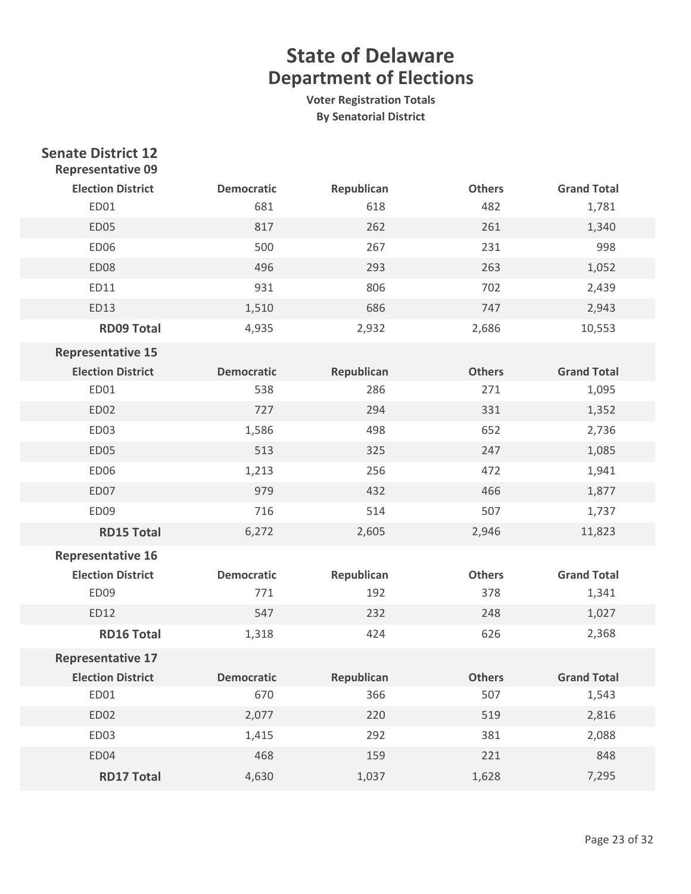| <b>Senate District 12</b><br><b>Representative 09</b> |                   |            |               |                    |
|-------------------------------------------------------|-------------------|------------|---------------|--------------------|
| <b>Election District</b>                              | <b>Democratic</b> | Republican | <b>Others</b> | <b>Grand Total</b> |
| ED01                                                  | 681               | 618        | 482           | 1,781              |
| ED05                                                  | 817               | 262        | 261           | 1,340              |
| ED06                                                  | 500               | 267        | 231           | 998                |
| ED08                                                  | 496               | 293        | 263           | 1,052              |
| ED11                                                  | 931               | 806        | 702           | 2,439              |
| ED13                                                  | 1,510             | 686        | 747           | 2,943              |
| <b>RD09 Total</b>                                     | 4,935             | 2,932      | 2,686         | 10,553             |
| <b>Representative 15</b>                              |                   |            |               |                    |
| <b>Election District</b>                              | <b>Democratic</b> | Republican | <b>Others</b> | <b>Grand Total</b> |
| ED01                                                  | 538               | 286        | 271           | 1,095              |
| ED02                                                  | 727               | 294        | 331           | 1,352              |
| ED03                                                  | 1,586             | 498        | 652           | 2,736              |
| ED05                                                  | 513               | 325        | 247           | 1,085              |
| <b>ED06</b>                                           | 1,213             | 256        | 472           | 1,941              |
| ED07                                                  | 979               | 432        | 466           | 1,877              |
| ED09                                                  | 716               | 514        | 507           | 1,737              |
| <b>RD15 Total</b>                                     | 6,272             | 2,605      | 2,946         | 11,823             |
| <b>Representative 16</b>                              |                   |            |               |                    |
| <b>Election District</b>                              | <b>Democratic</b> | Republican | <b>Others</b> | <b>Grand Total</b> |
| ED09                                                  | 771               | 192        | 378           | 1,341              |
| ED12                                                  | 547               | 232        | 248           | 1,027              |
| <b>RD16 Total</b>                                     | 1,318             | 424        | 626           | 2,368              |
| <b>Representative 17</b>                              |                   |            |               |                    |
| <b>Election District</b>                              | <b>Democratic</b> | Republican | <b>Others</b> | <b>Grand Total</b> |
| ED01                                                  | 670               | 366        | 507           | 1,543              |
| ED02                                                  | 2,077             | 220        | 519           | 2,816              |
| ED03                                                  | 1,415             | 292        | 381           | 2,088              |
| ED04                                                  | 468               | 159        | 221           | 848                |
| <b>RD17 Total</b>                                     | 4,630             | 1,037      | 1,628         | 7,295              |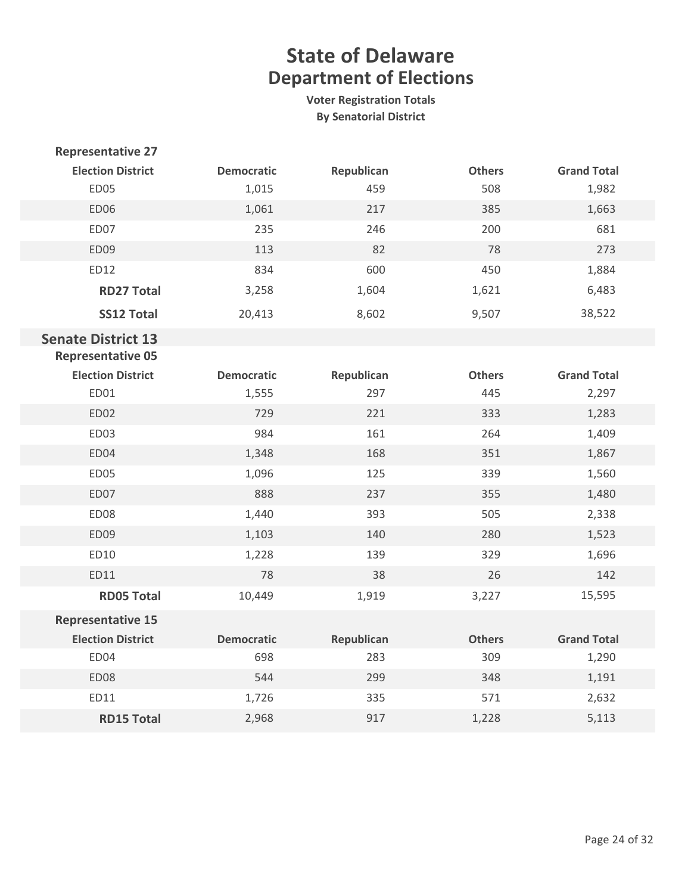| <b>Representative 27</b>  |                   |            |               |                    |
|---------------------------|-------------------|------------|---------------|--------------------|
| <b>Election District</b>  | <b>Democratic</b> | Republican | <b>Others</b> | <b>Grand Total</b> |
| ED05                      | 1,015             | 459        | 508           | 1,982              |
| <b>ED06</b>               | 1,061             | 217        | 385           | 1,663              |
| ED07                      | 235               | 246        | 200           | 681                |
| ED09                      | 113               | 82         | 78            | 273                |
| ED12                      | 834               | 600        | 450           | 1,884              |
| <b>RD27 Total</b>         | 3,258             | 1,604      | 1,621         | 6,483              |
| <b>SS12 Total</b>         | 20,413            | 8,602      | 9,507         | 38,522             |
| <b>Senate District 13</b> |                   |            |               |                    |
| <b>Representative 05</b>  |                   |            |               |                    |
| <b>Election District</b>  | <b>Democratic</b> | Republican | <b>Others</b> | <b>Grand Total</b> |
| ED01                      | 1,555             | 297        | 445           | 2,297              |
| ED02                      | 729               | 221        | 333           | 1,283              |
| ED03                      | 984               | 161        | 264           | 1,409              |
| ED04                      | 1,348             | 168        | 351           | 1,867              |
| ED05                      | 1,096             | 125        | 339           | 1,560              |
| ED07                      | 888               | 237        | 355           | 1,480              |
| ED08                      | 1,440             | 393        | 505           | 2,338              |
| ED09                      | 1,103             | 140        | 280           | 1,523              |
| ED10                      | 1,228             | 139        | 329           | 1,696              |
| ED11                      | 78                | 38         | 26            | 142                |
| <b>RD05 Total</b>         | 10,449            | 1,919      | 3,227         | 15,595             |
| <b>Representative 15</b>  |                   |            |               |                    |
| <b>Election District</b>  | <b>Democratic</b> | Republican | <b>Others</b> | <b>Grand Total</b> |
| ED04                      | 698               | 283        | 309           | 1,290              |
| ED08                      | 544               | 299        | 348           | 1,191              |
| ED11                      | 1,726             | 335        | 571           | 2,632              |
| <b>RD15 Total</b>         | 2,968             | 917        | 1,228         | 5,113              |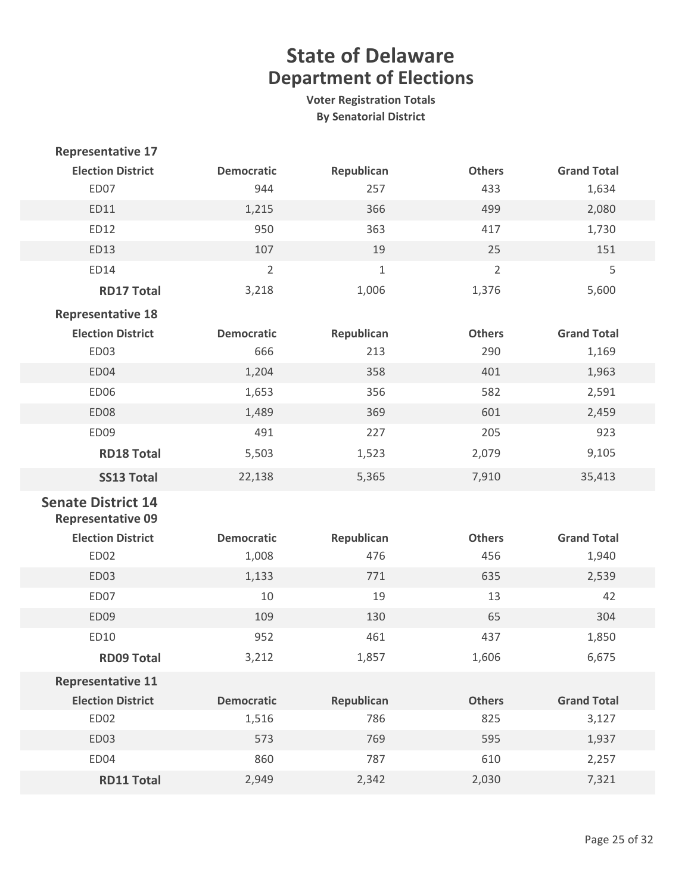| <b>Representative 17</b>                              |                   |             |                |                    |
|-------------------------------------------------------|-------------------|-------------|----------------|--------------------|
| <b>Election District</b>                              | <b>Democratic</b> | Republican  | <b>Others</b>  | <b>Grand Total</b> |
| ED07                                                  | 944               | 257         | 433            | 1,634              |
| ED11                                                  | 1,215             | 366         | 499            | 2,080              |
| ED12                                                  | 950               | 363         | 417            | 1,730              |
| ED13                                                  | 107               | 19          | 25             | 151                |
| ED14                                                  | $\overline{2}$    | $\mathbf 1$ | $\overline{2}$ | 5                  |
| <b>RD17 Total</b>                                     | 3,218             | 1,006       | 1,376          | 5,600              |
| <b>Representative 18</b>                              |                   |             |                |                    |
| <b>Election District</b>                              | <b>Democratic</b> | Republican  | <b>Others</b>  | <b>Grand Total</b> |
| ED <sub>03</sub>                                      | 666               | 213         | 290            | 1,169              |
| ED04                                                  | 1,204             | 358         | 401            | 1,963              |
| <b>ED06</b>                                           | 1,653             | 356         | 582            | 2,591              |
| ED08                                                  | 1,489             | 369         | 601            | 2,459              |
| ED09                                                  | 491               | 227         | 205            | 923                |
| <b>RD18 Total</b>                                     | 5,503             | 1,523       | 2,079          | 9,105              |
| <b>SS13 Total</b>                                     | 22,138            | 5,365       | 7,910          | 35,413             |
| <b>Senate District 14</b><br><b>Representative 09</b> |                   |             |                |                    |
| <b>Election District</b>                              | <b>Democratic</b> | Republican  | <b>Others</b>  | <b>Grand Total</b> |
| ED02                                                  | 1,008             | 476         | 456            | 1,940              |
| ED03                                                  | 1,133             | 771         | 635            | 2,539              |
| ED07                                                  | 10                | 19          | 13             | 42                 |
| ED09                                                  | 109               | 130         | 65             | 304                |
| ED10                                                  | 952               | 461         | 437            | 1,850              |
| <b>RD09 Total</b>                                     | 3,212             | 1,857       | 1,606          | 6,675              |
| <b>Representative 11</b>                              |                   |             |                |                    |
| <b>Election District</b>                              | <b>Democratic</b> | Republican  | <b>Others</b>  | <b>Grand Total</b> |
| ED02                                                  | 1,516             | 786         | 825            | 3,127              |
| <b>ED03</b>                                           | 573               | 769         | 595            | 1,937              |
| ED04                                                  | 860               | 787         | 610            | 2,257              |
| <b>RD11 Total</b>                                     | 2,949             | 2,342       | 2,030          | 7,321              |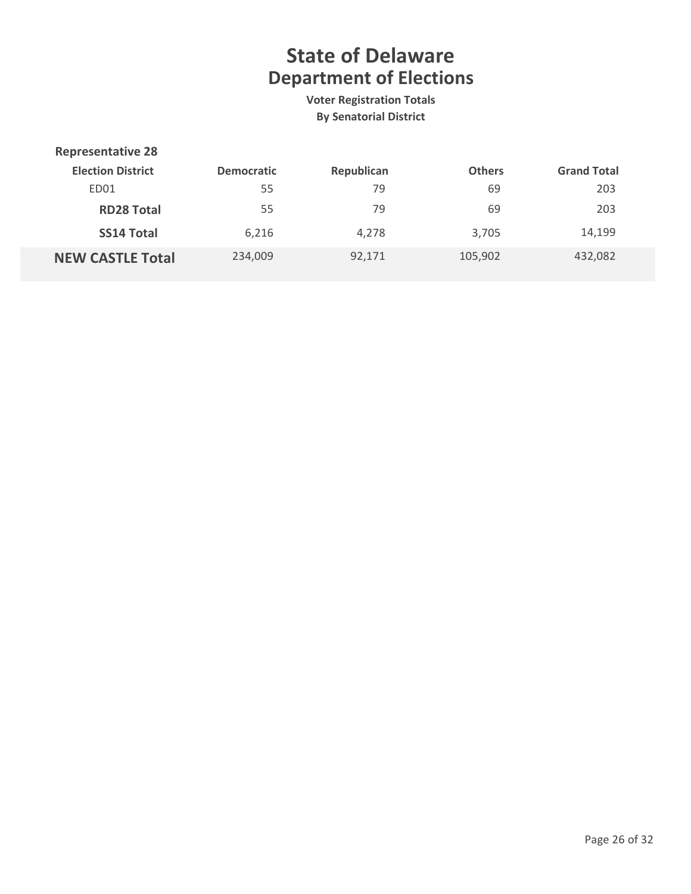| <b>Representative 28</b> |                   |            |               |                    |
|--------------------------|-------------------|------------|---------------|--------------------|
| <b>Election District</b> | <b>Democratic</b> | Republican | <b>Others</b> | <b>Grand Total</b> |
| ED01                     | 55                | 79         | 69            | 203                |
| <b>RD28 Total</b>        | 55                | 79         | 69            | 203                |
| <b>SS14 Total</b>        | 6,216             | 4,278      | 3,705         | 14,199             |
| <b>NEW CASTLE Total</b>  | 234,009           | 92,171     | 105,902       | 432,082            |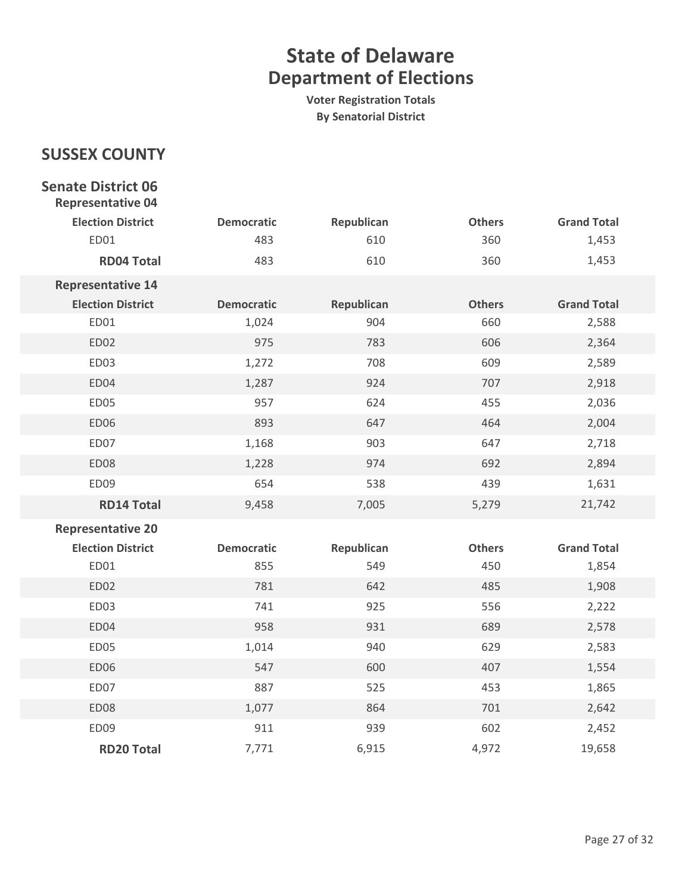**Voter Registration Totals By Senatorial District**

### **SUSSEX COUNTY**

### **Senate District 06 Representative 04 Election District Democratic Republican Others Grand Total** ED01 483 483 610 360 1,453 **RD04 Total** 483 483 610 360 360 1,453 **Representative 14 Election District Democratic Republican Others Grand Total** ED01 1,024 904 660 2,588 ED02 875 975 783 606 2,364 ED03 1,272 708 609 2,589 ED04 1,287 924 707 2,918 ED05 957 624 455 2,036 ED06 893 893 647 464 2,004 ED07 1,168 903 647 2,718 ED08 1,228 974 692 2,894 ED09 654 538 439 1,631 **RD14 Total** 9,458 7,005 5,279 21,742 **Representative 20 Election District Democratic Republican Others Grand Total** ED01 855 855 549 450 450 1,854 ED02 781 781 642 485 1,908 ED03 741 925 556 2,222 ED04 2,578 958 931 689 2,578 ED05 1,014 940 629 2,583 ED06 547 547 600 407 1,554 ED07 887 887 525 453 453 1,865 ED08 1,077 864 701 2,642 ED09 811 939 602 2,452

**RD20 Total** 19,658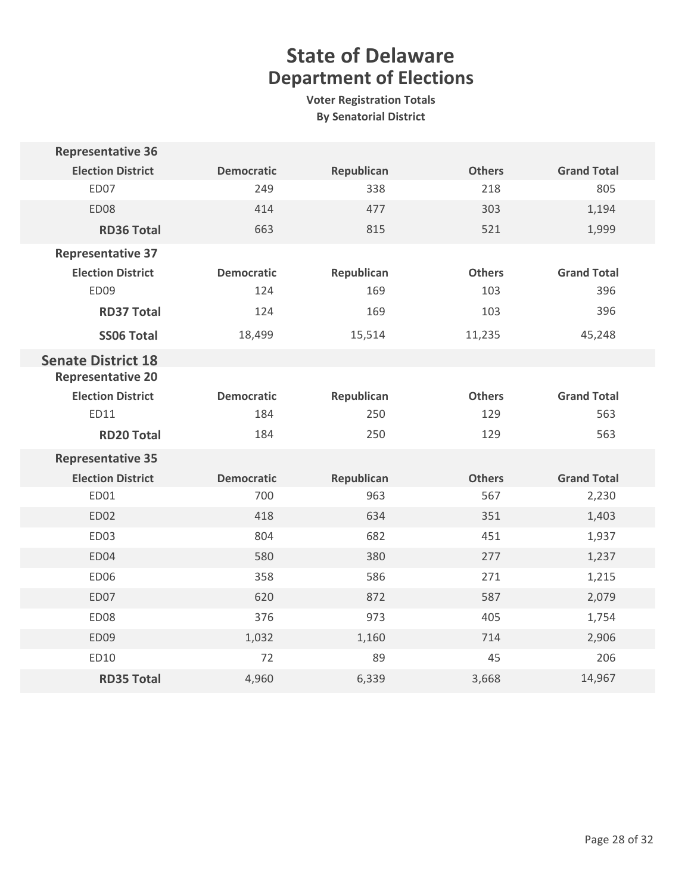| <b>Representative 36</b>  |                   |            |               |                    |
|---------------------------|-------------------|------------|---------------|--------------------|
| <b>Election District</b>  | <b>Democratic</b> | Republican | <b>Others</b> | <b>Grand Total</b> |
| ED07                      | 249               | 338        | 218           | 805                |
| ED08                      | 414               | 477        | 303           | 1,194              |
| <b>RD36 Total</b>         | 663               | 815        | 521           | 1,999              |
| <b>Representative 37</b>  |                   |            |               |                    |
| <b>Election District</b>  | <b>Democratic</b> | Republican | <b>Others</b> | <b>Grand Total</b> |
| ED09                      | 124               | 169        | 103           | 396                |
| <b>RD37 Total</b>         | 124               | 169        | 103           | 396                |
| <b>SS06 Total</b>         | 18,499            | 15,514     | 11,235        | 45,248             |
| <b>Senate District 18</b> |                   |            |               |                    |
| <b>Representative 20</b>  |                   |            |               |                    |
| <b>Election District</b>  | <b>Democratic</b> | Republican | <b>Others</b> | <b>Grand Total</b> |
| <b>ED11</b>               | 184               | 250        | 129           | 563                |
| <b>RD20 Total</b>         | 184               | 250        | 129           | 563                |
| <b>Representative 35</b>  |                   |            |               |                    |
| <b>Election District</b>  | <b>Democratic</b> | Republican | <b>Others</b> | <b>Grand Total</b> |
| ED01                      | 700               | 963        | 567           | 2,230              |
| ED02                      | 418               | 634        | 351           | 1,403              |
| ED03                      | 804               | 682        | 451           | 1,937              |
| ED04                      | 580               | 380        | 277           | 1,237              |
| ED06                      | 358               | 586        | 271           | 1,215              |
| ED07                      | 620               | 872        | 587           | 2,079              |
| ED08                      | 376               | 973        | 405           | 1,754              |
| ED09                      | 1,032             | 1,160      | 714           | 2,906              |
| ED10                      | 72                | 89         | 45            | 206                |
| <b>RD35 Total</b>         | 4,960             | 6,339      | 3,668         | 14,967             |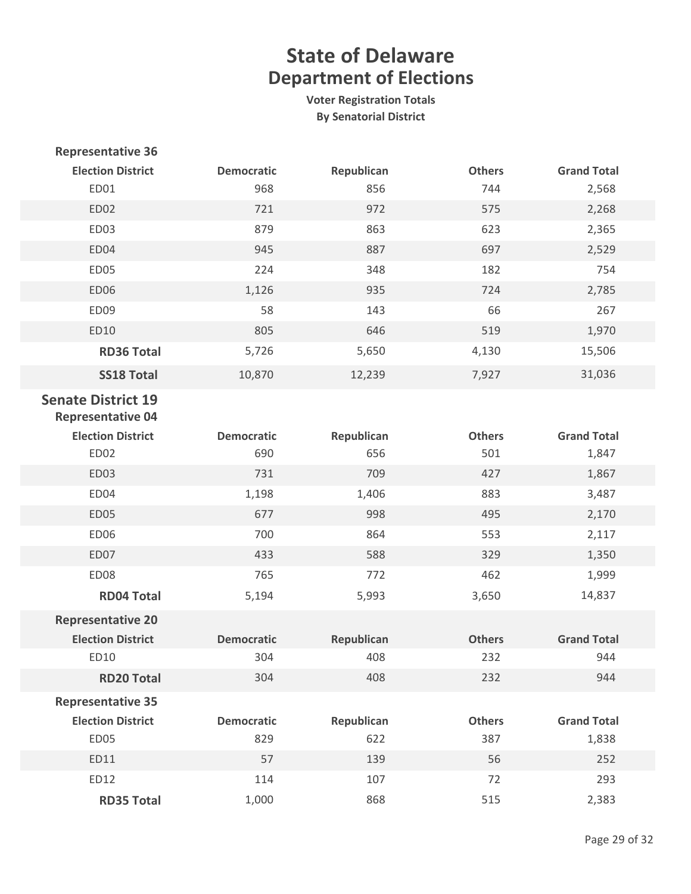| <b>Representative 36</b>                              |                   |            |               |                    |
|-------------------------------------------------------|-------------------|------------|---------------|--------------------|
| <b>Election District</b>                              | <b>Democratic</b> | Republican | <b>Others</b> | <b>Grand Total</b> |
| ED01                                                  | 968               | 856        | 744           | 2,568              |
| <b>ED02</b>                                           | 721               | 972        | 575           | 2,268              |
| <b>ED03</b>                                           | 879               | 863        | 623           | 2,365              |
| ED04                                                  | 945               | 887        | 697           | 2,529              |
| <b>ED05</b>                                           | 224               | 348        | 182           | 754                |
| <b>ED06</b>                                           | 1,126             | 935        | 724           | 2,785              |
| ED09                                                  | 58                | 143        | 66            | 267                |
| ED10                                                  | 805               | 646        | 519           | 1,970              |
| <b>RD36 Total</b>                                     | 5,726             | 5,650      | 4,130         | 15,506             |
| <b>SS18 Total</b>                                     | 10,870            | 12,239     | 7,927         | 31,036             |
| <b>Senate District 19</b><br><b>Representative 04</b> |                   |            |               |                    |
| <b>Election District</b>                              | <b>Democratic</b> | Republican | <b>Others</b> | <b>Grand Total</b> |
| ED02                                                  | 690               | 656        | 501           | 1,847              |
| <b>ED03</b>                                           | 731               | 709        | 427           | 1,867              |
| ED04                                                  | 1,198             | 1,406      | 883           | 3,487              |
| <b>ED05</b>                                           | 677               | 998        | 495           | 2,170              |
| <b>ED06</b>                                           | 700               | 864        | 553           | 2,117              |
| ED07                                                  | 433               | 588        | 329           | 1,350              |
| <b>ED08</b>                                           | 765               | 772        | 462           | 1,999              |
| <b>RD04 Total</b>                                     | 5,194             | 5,993      | 3,650         | 14,837             |
| <b>Representative 20</b>                              |                   |            |               |                    |
| <b>Election District</b>                              | <b>Democratic</b> | Republican | <b>Others</b> | <b>Grand Total</b> |
| ED10                                                  | 304               | 408        | 232           | 944                |
| <b>RD20 Total</b>                                     | 304               | 408        | 232           | 944                |
| <b>Representative 35</b>                              |                   |            |               |                    |
| <b>Election District</b>                              | <b>Democratic</b> | Republican | <b>Others</b> | <b>Grand Total</b> |
| ED05                                                  | 829               | 622        | 387           | 1,838              |
| ED11                                                  | 57                | 139        | 56            | 252                |
| ED12                                                  | 114               | 107        | 72            | 293                |
| <b>RD35 Total</b>                                     | 1,000             | 868        | 515           | 2,383              |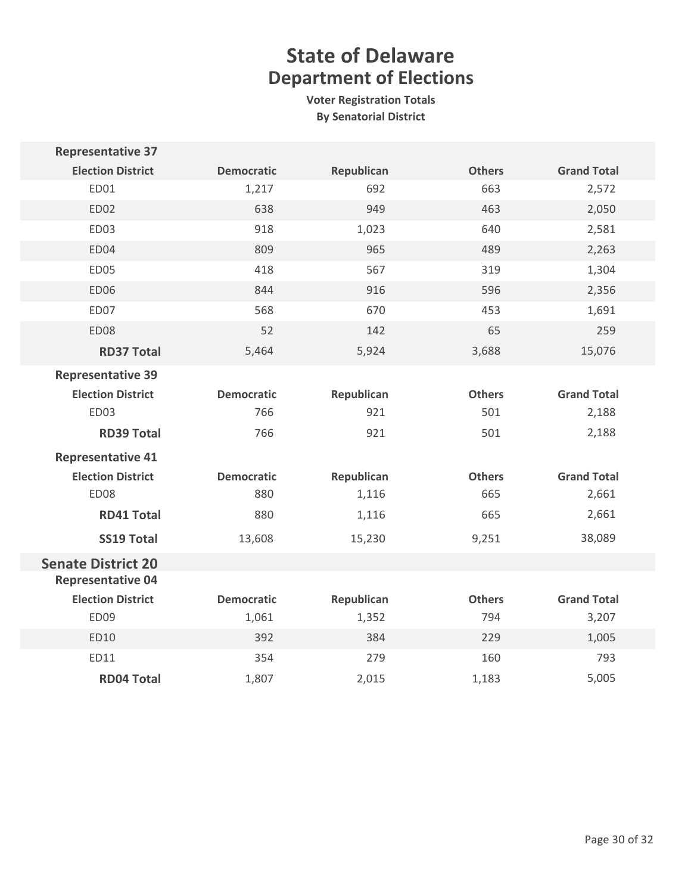| <b>Representative 37</b>  |                   |            |               |                    |  |
|---------------------------|-------------------|------------|---------------|--------------------|--|
| <b>Election District</b>  | <b>Democratic</b> | Republican | <b>Others</b> | <b>Grand Total</b> |  |
| ED01                      | 1,217             | 692        | 663           | 2,572              |  |
| ED02                      | 638               | 949        | 463           | 2,050              |  |
| ED03                      | 918               | 1,023      | 640           | 2,581              |  |
| ED04                      | 809               | 965        | 489           | 2,263              |  |
| ED05                      | 418               | 567        | 319           | 1,304              |  |
| <b>ED06</b>               | 844               | 916        | 596           | 2,356              |  |
| ED07                      | 568               | 670        | 453           | 1,691              |  |
| <b>ED08</b>               | 52                | 142        | 65            | 259                |  |
| <b>RD37 Total</b>         | 5,464             | 5,924      | 3,688         | 15,076             |  |
| <b>Representative 39</b>  |                   |            |               |                    |  |
| <b>Election District</b>  | <b>Democratic</b> | Republican | <b>Others</b> | <b>Grand Total</b> |  |
| ED03                      | 766               | 921        | 501           | 2,188              |  |
| <b>RD39 Total</b>         | 766               | 921        | 501           | 2,188              |  |
| <b>Representative 41</b>  |                   |            |               |                    |  |
| <b>Election District</b>  | <b>Democratic</b> | Republican | <b>Others</b> | <b>Grand Total</b> |  |
| ED08                      | 880               | 1,116      | 665           | 2,661              |  |
| <b>RD41 Total</b>         | 880               | 1,116      | 665           | 2,661              |  |
| <b>SS19 Total</b>         | 13,608            | 15,230     | 9,251         | 38,089             |  |
| <b>Senate District 20</b> |                   |            |               |                    |  |
| <b>Representative 04</b>  |                   |            |               |                    |  |
| <b>Election District</b>  | <b>Democratic</b> | Republican | <b>Others</b> | <b>Grand Total</b> |  |
| ED09                      | 1,061             | 1,352      | 794           | 3,207              |  |
| ED10                      | 392               | 384        | 229           | 1,005              |  |
| ED11                      | 354               | 279        | 160           | 793                |  |
| <b>RD04 Total</b>         | 1,807             | 2,015      | 1,183         | 5,005              |  |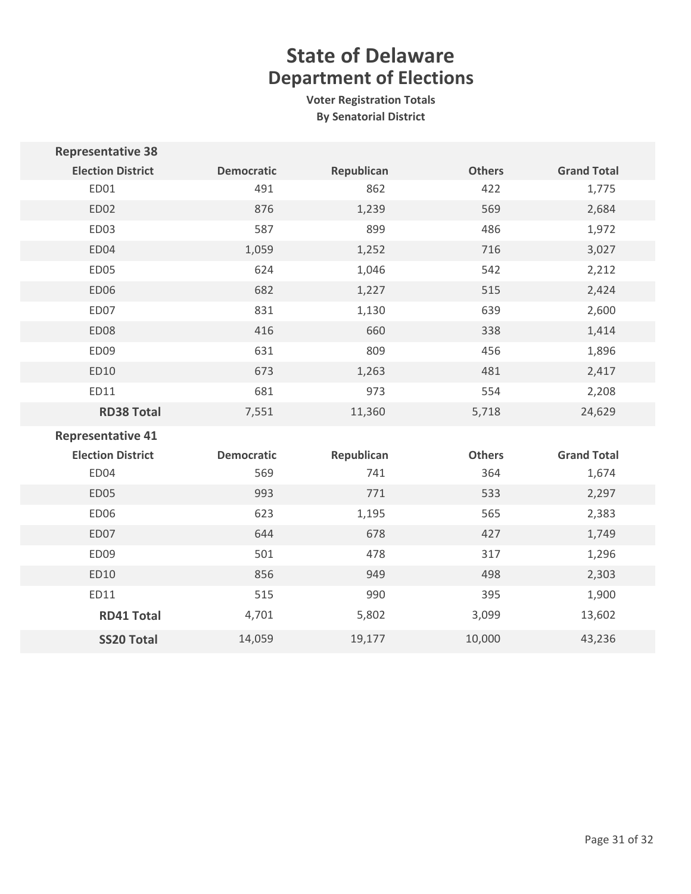| <b>Representative 38</b> |                   |            |               |                    |
|--------------------------|-------------------|------------|---------------|--------------------|
| <b>Election District</b> | <b>Democratic</b> | Republican | <b>Others</b> | <b>Grand Total</b> |
| ED01                     | 491               | 862        | 422           | 1,775              |
| ED02                     | 876               | 1,239      | 569           | 2,684              |
| ED03                     | 587               | 899        | 486           | 1,972              |
| ED04                     | 1,059             | 1,252      | 716           | 3,027              |
| ED05                     | 624               | 1,046      | 542           | 2,212              |
| <b>ED06</b>              | 682               | 1,227      | 515           | 2,424              |
| ED07                     | 831               | 1,130      | 639           | 2,600              |
| <b>ED08</b>              | 416               | 660        | 338           | 1,414              |
| ED09                     | 631               | 809        | 456           | 1,896              |
| ED10                     | 673               | 1,263      | 481           | 2,417              |
| ED11                     | 681               | 973        | 554           | 2,208              |
| <b>RD38 Total</b>        | 7,551             | 11,360     | 5,718         | 24,629             |
| <b>Representative 41</b> |                   |            |               |                    |
| <b>Election District</b> | <b>Democratic</b> | Republican | <b>Others</b> | <b>Grand Total</b> |
| ED04                     | 569               | 741        | 364           | 1,674              |
| <b>ED05</b>              | 993               | 771        | 533           | 2,297              |
| ED06                     | 623               | 1,195      | 565           | 2,383              |
| ED07                     | 644               | 678        | 427           | 1,749              |
| ED09                     | 501               | 478        | 317           | 1,296              |
| ED10                     | 856               | 949        | 498           | 2,303              |
| ED11                     | 515               | 990        | 395           | 1,900              |
| <b>RD41 Total</b>        | 4,701             | 5,802      | 3,099         | 13,602             |
| <b>SS20 Total</b>        | 14,059            | 19,177     | 10,000        | 43,236             |